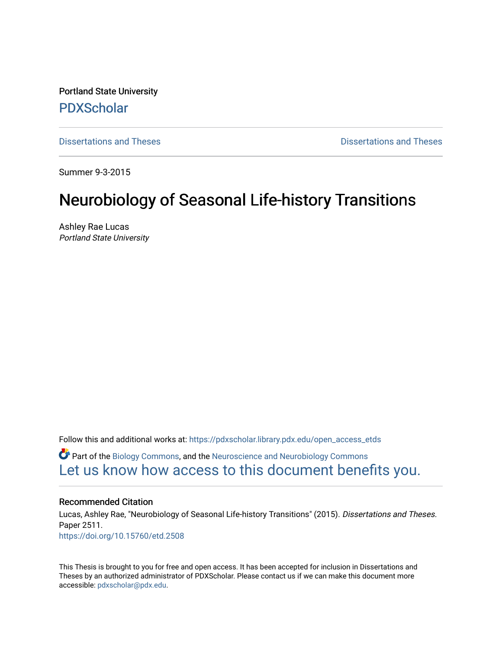Portland State University [PDXScholar](https://pdxscholar.library.pdx.edu/)

[Dissertations and Theses](https://pdxscholar.library.pdx.edu/open_access_etds) **Dissertations and Theses** Dissertations and Theses

Summer 9-3-2015

# Neurobiology of Seasonal Life-history Transitions

Ashley Rae Lucas Portland State University

Follow this and additional works at: [https://pdxscholar.library.pdx.edu/open\\_access\\_etds](https://pdxscholar.library.pdx.edu/open_access_etds?utm_source=pdxscholar.library.pdx.edu%2Fopen_access_etds%2F2511&utm_medium=PDF&utm_campaign=PDFCoverPages)

**C** Part of the [Biology Commons,](http://network.bepress.com/hgg/discipline/41?utm_source=pdxscholar.library.pdx.edu%2Fopen_access_etds%2F2511&utm_medium=PDF&utm_campaign=PDFCoverPages) and the [Neuroscience and Neurobiology Commons](http://network.bepress.com/hgg/discipline/55?utm_source=pdxscholar.library.pdx.edu%2Fopen_access_etds%2F2511&utm_medium=PDF&utm_campaign=PDFCoverPages) [Let us know how access to this document benefits you.](http://library.pdx.edu/services/pdxscholar-services/pdxscholar-feedback/) 

#### Recommended Citation

Lucas, Ashley Rae, "Neurobiology of Seasonal Life-history Transitions" (2015). Dissertations and Theses. Paper 2511. <https://doi.org/10.15760/etd.2508>

This Thesis is brought to you for free and open access. It has been accepted for inclusion in Dissertations and Theses by an authorized administrator of PDXScholar. Please contact us if we can make this document more accessible: [pdxscholar@pdx.edu.](mailto:pdxscholar@pdx.edu)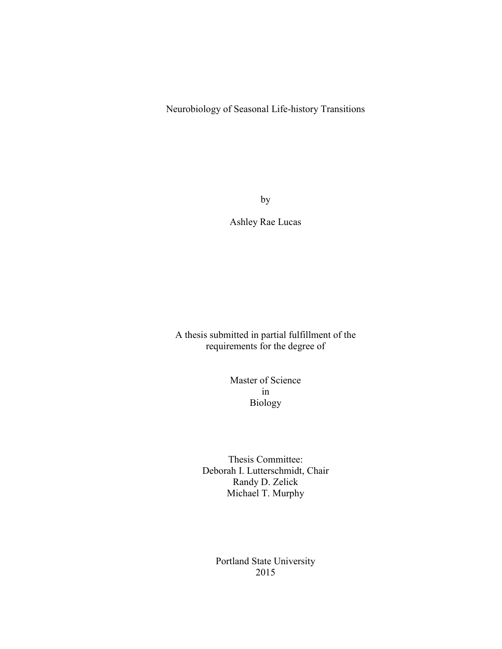Neurobiology of Seasonal Life-history Transitions

by

Ashley Rae Lucas

A thesis submitted in partial fulfillment of the requirements for the degree of

> Master of Science in Biology

Thesis Committee: Deborah I. Lutterschmidt, Chair Randy D. Zelick Michael T. Murphy

> Portland State University 2015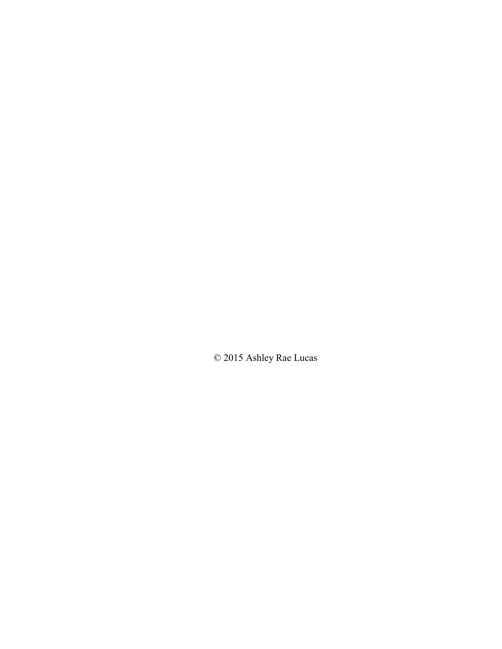© 2015 Ashley Rae Lucas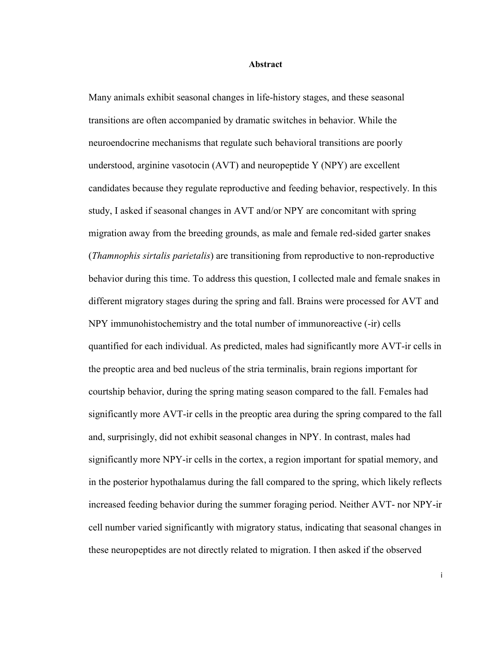#### **Abstract**

Many animals exhibit seasonal changes in life-history stages, and these seasonal transitions are often accompanied by dramatic switches in behavior. While the neuroendocrine mechanisms that regulate such behavioral transitions are poorly understood, arginine vasotocin (AVT) and neuropeptide Y (NPY) are excellent candidates because they regulate reproductive and feeding behavior, respectively. In this study, I asked if seasonal changes in AVT and/or NPY are concomitant with spring migration away from the breeding grounds, as male and female red-sided garter snakes (*Thamnophis sirtalis parietalis*) are transitioning from reproductive to non-reproductive behavior during this time. To address this question, I collected male and female snakes in different migratory stages during the spring and fall. Brains were processed for AVT and NPY immunohistochemistry and the total number of immunoreactive (-ir) cells quantified for each individual. As predicted, males had significantly more AVT-ir cells in the preoptic area and bed nucleus of the stria terminalis, brain regions important for courtship behavior, during the spring mating season compared to the fall. Females had significantly more AVT-ir cells in the preoptic area during the spring compared to the fall and, surprisingly, did not exhibit seasonal changes in NPY. In contrast, males had significantly more NPY-ir cells in the cortex, a region important for spatial memory, and in the posterior hypothalamus during the fall compared to the spring, which likely reflects increased feeding behavior during the summer foraging period. Neither AVT- nor NPY-ir cell number varied significantly with migratory status, indicating that seasonal changes in these neuropeptides are not directly related to migration. I then asked if the observed

i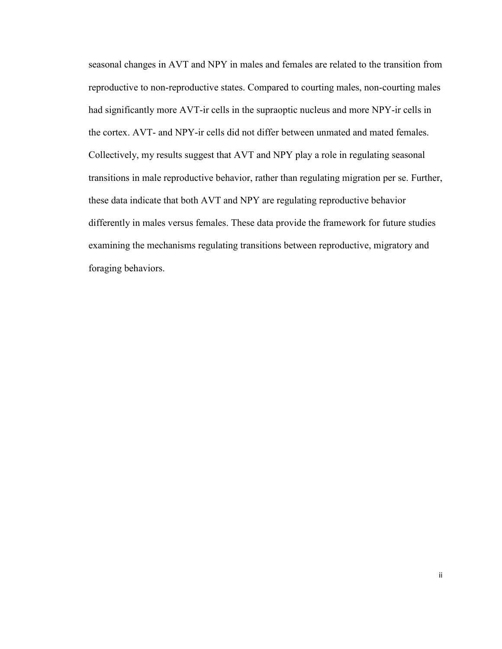seasonal changes in AVT and NPY in males and females are related to the transition from reproductive to non-reproductive states. Compared to courting males, non-courting males had significantly more AVT-ir cells in the supraoptic nucleus and more NPY-ir cells in the cortex. AVT- and NPY-ir cells did not differ between unmated and mated females. Collectively, my results suggest that AVT and NPY play a role in regulating seasonal transitions in male reproductive behavior, rather than regulating migration per se. Further, these data indicate that both AVT and NPY are regulating reproductive behavior differently in males versus females. These data provide the framework for future studies examining the mechanisms regulating transitions between reproductive, migratory and foraging behaviors.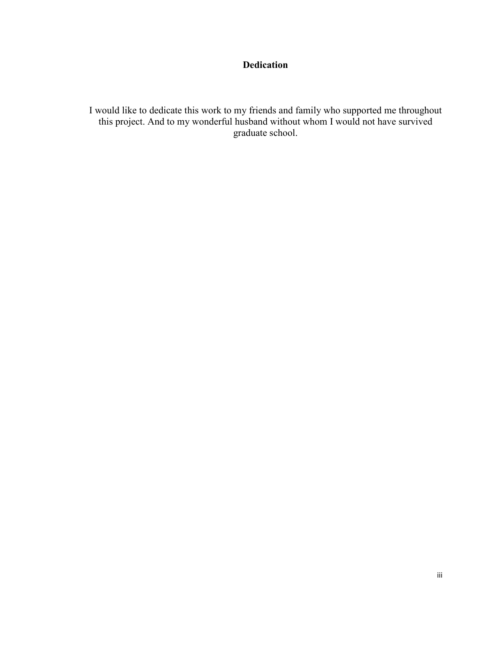## **Dedication**

I would like to dedicate this work to my friends and family who supported me throughout this project. And to my wonderful husband without whom I would not have survived graduate school.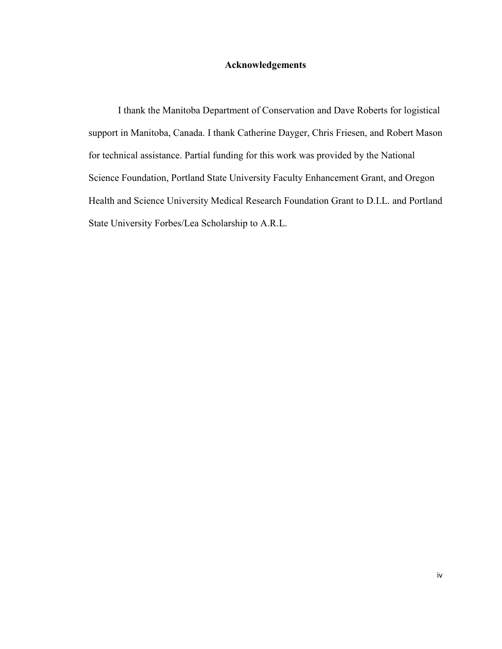#### **Acknowledgements**

I thank the Manitoba Department of Conservation and Dave Roberts for logistical support in Manitoba, Canada. I thank Catherine Dayger, Chris Friesen, and Robert Mason for technical assistance. Partial funding for this work was provided by the National Science Foundation, Portland State University Faculty Enhancement Grant, and Oregon Health and Science University Medical Research Foundation Grant to D.I.L. and Portland State University Forbes/Lea Scholarship to A.R.L.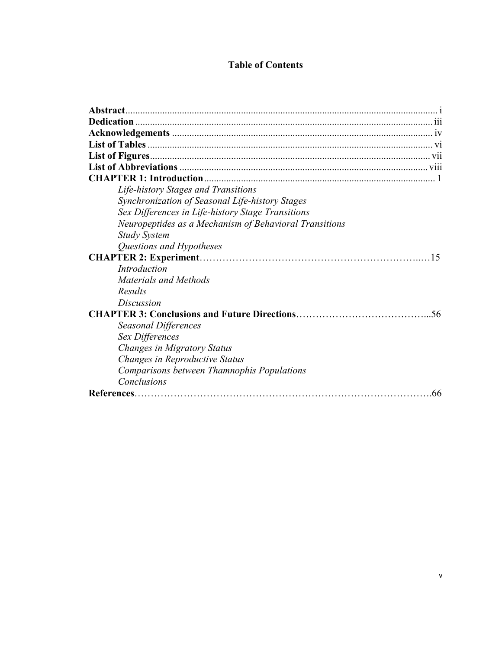### **Table of Contents**

| Life-history Stages and Transitions                    |
|--------------------------------------------------------|
| Synchronization of Seasonal Life-history Stages        |
| Sex Differences in Life-history Stage Transitions      |
| Neuropeptides as a Mechanism of Behavioral Transitions |
| <b>Study System</b>                                    |
| Questions and Hypotheses                               |
| 15                                                     |
| Introduction                                           |
| Materials and Methods                                  |
| Results                                                |
| Discussion                                             |
| .56                                                    |
| <b>Seasonal Differences</b>                            |
| Sex Differences                                        |
| Changes in Migratory Status                            |
| Changes in Reproductive Status                         |
| Comparisons between Thamnophis Populations             |
| Conclusions                                            |
| .66                                                    |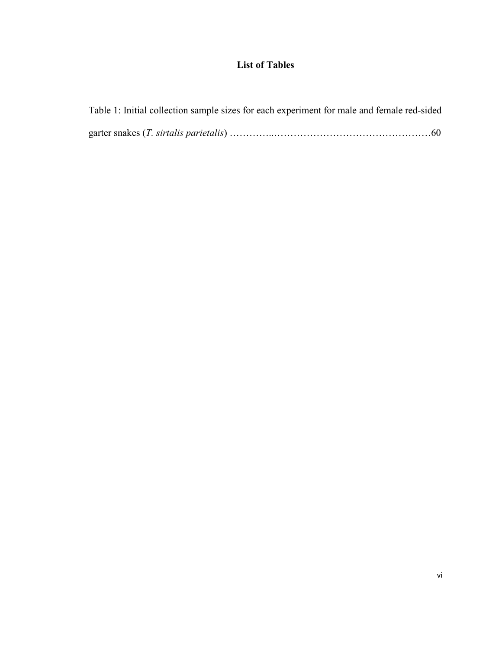## **List of Tables**

| Table 1: Initial collection sample sizes for each experiment for male and female red-sided |  |  |
|--------------------------------------------------------------------------------------------|--|--|
|                                                                                            |  |  |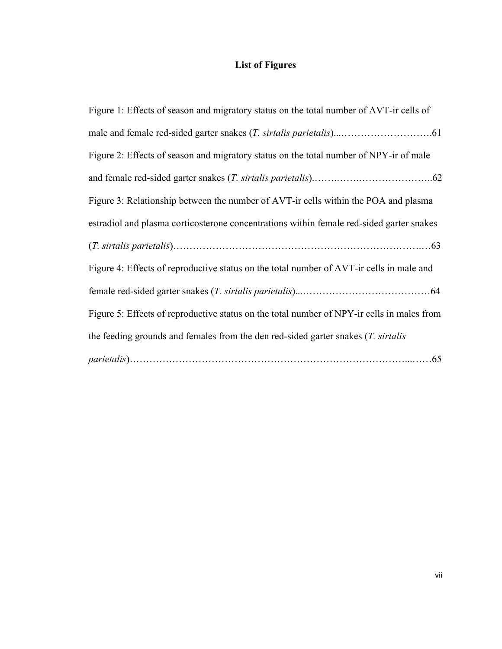## **List of Figures**

| Figure 1: Effects of season and migratory status on the total number of AVT-ir cells of    |
|--------------------------------------------------------------------------------------------|
|                                                                                            |
| Figure 2: Effects of season and migratory status on the total number of NPY-ir of male     |
|                                                                                            |
| Figure 3: Relationship between the number of AVT-ir cells within the POA and plasma        |
| estradiol and plasma corticosterone concentrations within female red-sided garter snakes   |
|                                                                                            |
| Figure 4: Effects of reproductive status on the total number of AVT-ir cells in male and   |
|                                                                                            |
| Figure 5: Effects of reproductive status on the total number of NPY-ir cells in males from |
| the feeding grounds and females from the den red-sided garter snakes $(T.$ sirtalis        |
|                                                                                            |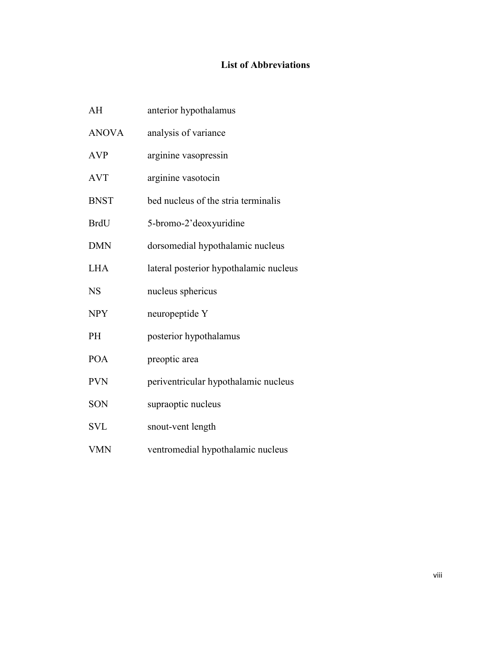## **List of Abbreviations**

| AH           | anterior hypothalamus                  |
|--------------|----------------------------------------|
| <b>ANOVA</b> | analysis of variance                   |
| <b>AVP</b>   | arginine vasopressin                   |
| <b>AVT</b>   | arginine vasotocin                     |
| <b>BNST</b>  | bed nucleus of the stria terminalis    |
| <b>BrdU</b>  | 5-bromo-2'deoxyuridine                 |
| <b>DMN</b>   | dorsomedial hypothalamic nucleus       |
| <b>LHA</b>   | lateral posterior hypothalamic nucleus |
| <b>NS</b>    | nucleus sphericus                      |
| <b>NPY</b>   | neuropeptide Y                         |
| PH           | posterior hypothalamus                 |
| <b>POA</b>   | preoptic area                          |
| <b>PVN</b>   | periventricular hypothalamic nucleus   |
| SON          | supraoptic nucleus                     |
| <b>SVL</b>   | snout-vent length                      |
| <b>VMN</b>   | ventromedial hypothalamic nucleus      |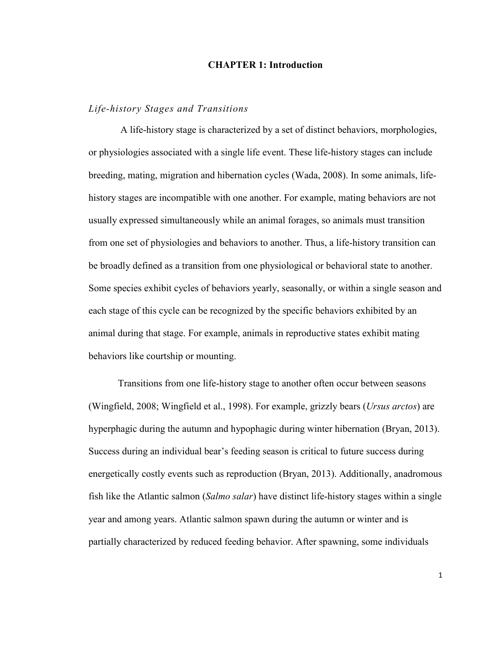#### **CHAPTER 1: Introduction**

#### *Life-history Stages and Transitions*

A life-history stage is characterized by a set of distinct behaviors, morphologies, or physiologies associated with a single life event. These life-history stages can include breeding, mating, migration and hibernation cycles (Wada, 2008). In some animals, lifehistory stages are incompatible with one another. For example, mating behaviors are not usually expressed simultaneously while an animal forages, so animals must transition from one set of physiologies and behaviors to another. Thus, a life-history transition can be broadly defined as a transition from one physiological or behavioral state to another. Some species exhibit cycles of behaviors yearly, seasonally, or within a single season and each stage of this cycle can be recognized by the specific behaviors exhibited by an animal during that stage. For example, animals in reproductive states exhibit mating behaviors like courtship or mounting.

Transitions from one life-history stage to another often occur between seasons (Wingfield, 2008; Wingfield et al., 1998). For example, grizzly bears (*Ursus arctos*) are hyperphagic during the autumn and hypophagic during winter hibernation (Bryan, 2013). Success during an individual bear's feeding season is critical to future success during energetically costly events such as reproduction (Bryan, 2013). Additionally, anadromous fish like the Atlantic salmon (*Salmo salar*) have distinct life-history stages within a single year and among years. Atlantic salmon spawn during the autumn or winter and is partially characterized by reduced feeding behavior. After spawning, some individuals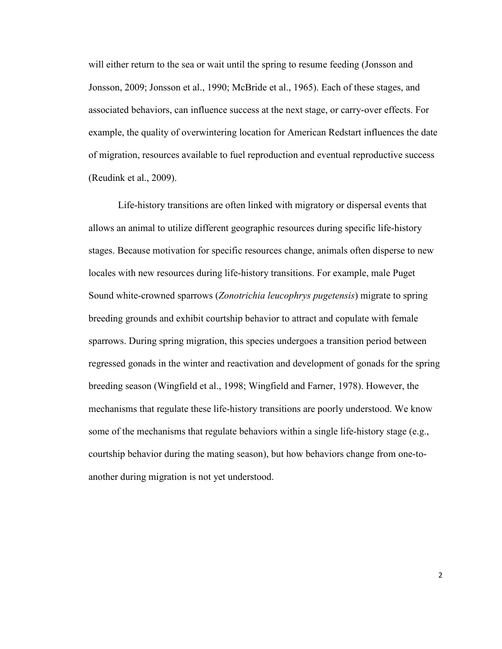will either return to the sea or wait until the spring to resume feeding (Jonsson and Jonsson, 2009; Jonsson et al., 1990; McBride et al., 1965). Each of these stages, and associated behaviors, can influence success at the next stage, or carry-over effects. For example, the quality of overwintering location for American Redstart influences the date of migration, resources available to fuel reproduction and eventual reproductive success (Reudink et al., 2009).

Life-history transitions are often linked with migratory or dispersal events that allows an animal to utilize different geographic resources during specific life-history stages. Because motivation for specific resources change, animals often disperse to new locales with new resources during life-history transitions. For example, male Puget Sound white-crowned sparrows (*Zonotrichia leucophrys pugetensis*) migrate to spring breeding grounds and exhibit courtship behavior to attract and copulate with female sparrows. During spring migration, this species undergoes a transition period between regressed gonads in the winter and reactivation and development of gonads for the spring breeding season (Wingfield et al., 1998; Wingfield and Farner, 1978). However, the mechanisms that regulate these life-history transitions are poorly understood. We know some of the mechanisms that regulate behaviors within a single life-history stage (e.g., courtship behavior during the mating season), but how behaviors change from one-toanother during migration is not yet understood.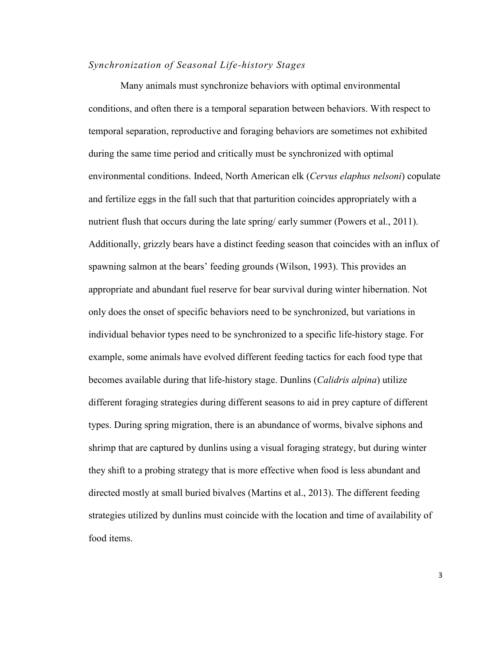#### *Synchronization of Seasonal Life-history Stages*

Many animals must synchronize behaviors with optimal environmental conditions, and often there is a temporal separation between behaviors. With respect to temporal separation, reproductive and foraging behaviors are sometimes not exhibited during the same time period and critically must be synchronized with optimal environmental conditions. Indeed, North American elk (*Cervus elaphus nelsoni*) copulate and fertilize eggs in the fall such that that parturition coincides appropriately with a nutrient flush that occurs during the late spring/ early summer (Powers et al., 2011). Additionally, grizzly bears have a distinct feeding season that coincides with an influx of spawning salmon at the bears' feeding grounds (Wilson, 1993). This provides an appropriate and abundant fuel reserve for bear survival during winter hibernation. Not only does the onset of specific behaviors need to be synchronized, but variations in individual behavior types need to be synchronized to a specific life-history stage. For example, some animals have evolved different feeding tactics for each food type that becomes available during that life-history stage. Dunlins (*Calidris alpina*) utilize different foraging strategies during different seasons to aid in prey capture of different types. During spring migration, there is an abundance of worms, bivalve siphons and shrimp that are captured by dunlins using a visual foraging strategy, but during winter they shift to a probing strategy that is more effective when food is less abundant and directed mostly at small buried bivalves (Martins et al., 2013). The different feeding strategies utilized by dunlins must coincide with the location and time of availability of food items.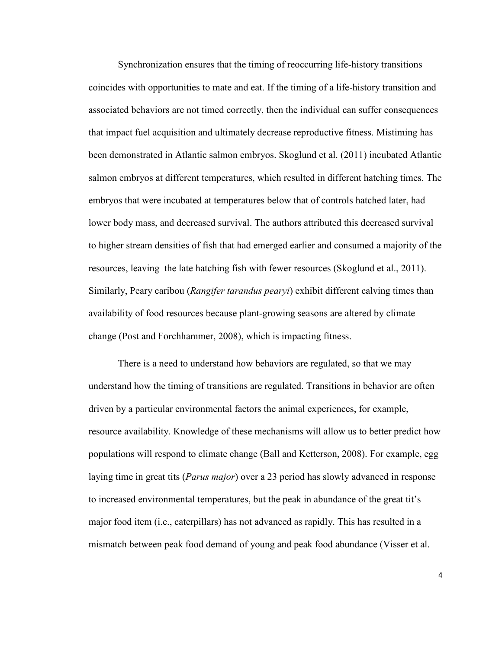Synchronization ensures that the timing of reoccurring life-history transitions coincides with opportunities to mate and eat. If the timing of a life-history transition and associated behaviors are not timed correctly, then the individual can suffer consequences that impact fuel acquisition and ultimately decrease reproductive fitness. Mistiming has been demonstrated in Atlantic salmon embryos. Skoglund et al. (2011) incubated Atlantic salmon embryos at different temperatures, which resulted in different hatching times. The embryos that were incubated at temperatures below that of controls hatched later, had lower body mass, and decreased survival. The authors attributed this decreased survival to higher stream densities of fish that had emerged earlier and consumed a majority of the resources, leaving the late hatching fish with fewer resources (Skoglund et al., 2011). Similarly, Peary caribou (*Rangifer tarandus pearyi*) exhibit different calving times than availability of food resources because plant-growing seasons are altered by climate change (Post and Forchhammer, 2008), which is impacting fitness.

There is a need to understand how behaviors are regulated, so that we may understand how the timing of transitions are regulated. Transitions in behavior are often driven by a particular environmental factors the animal experiences, for example, resource availability. Knowledge of these mechanisms will allow us to better predict how populations will respond to climate change (Ball and Ketterson, 2008). For example, egg laying time in great tits (*Parus major*) over a 23 period has slowly advanced in response to increased environmental temperatures, but the peak in abundance of the great tit's major food item (i.e., caterpillars) has not advanced as rapidly. This has resulted in a mismatch between peak food demand of young and peak food abundance (Visser et al.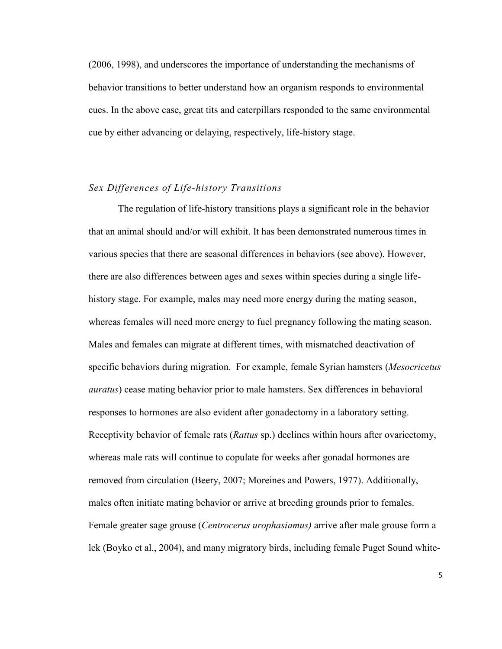(2006, 1998), and underscores the importance of understanding the mechanisms of behavior transitions to better understand how an organism responds to environmental cues. In the above case, great tits and caterpillars responded to the same environmental cue by either advancing or delaying, respectively, life-history stage.

#### *Sex Differences of Life-history Transitions*

The regulation of life-history transitions plays a significant role in the behavior that an animal should and/or will exhibit. It has been demonstrated numerous times in various species that there are seasonal differences in behaviors (see above). However, there are also differences between ages and sexes within species during a single lifehistory stage. For example, males may need more energy during the mating season, whereas females will need more energy to fuel pregnancy following the mating season. Males and females can migrate at different times, with mismatched deactivation of specific behaviors during migration. For example, female Syrian hamsters (*Mesocricetus auratus*) cease mating behavior prior to male hamsters. Sex differences in behavioral responses to hormones are also evident after gonadectomy in a laboratory setting. Receptivity behavior of female rats (*Rattus* sp.) declines within hours after ovariectomy, whereas male rats will continue to copulate for weeks after gonadal hormones are removed from circulation (Beery, 2007; Moreines and Powers, 1977). Additionally, males often initiate mating behavior or arrive at breeding grounds prior to females. Female greater sage grouse (*Centrocerus urophasiamus)* arrive after male grouse form a lek (Boyko et al., 2004), and many migratory birds, including female Puget Sound white-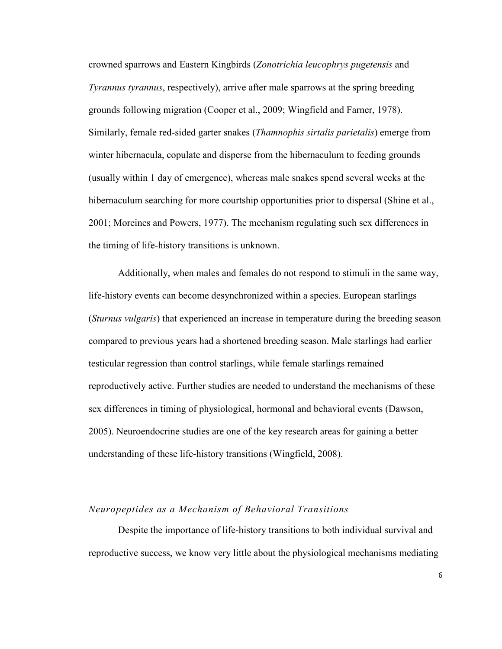crowned sparrows and Eastern Kingbirds (*Zonotrichia leucophrys pugetensis* and *Tyrannus tyrannus*, respectively), arrive after male sparrows at the spring breeding grounds following migration (Cooper et al., 2009; Wingfield and Farner, 1978). Similarly, female red-sided garter snakes (*Thamnophis sirtalis parietalis*) emerge from winter hibernacula, copulate and disperse from the hibernaculum to feeding grounds (usually within 1 day of emergence), whereas male snakes spend several weeks at the hibernaculum searching for more courtship opportunities prior to dispersal (Shine et al., 2001; Moreines and Powers, 1977). The mechanism regulating such sex differences in the timing of life-history transitions is unknown.

Additionally, when males and females do not respond to stimuli in the same way, life-history events can become desynchronized within a species. European starlings (*Sturnus vulgaris*) that experienced an increase in temperature during the breeding season compared to previous years had a shortened breeding season. Male starlings had earlier testicular regression than control starlings, while female starlings remained reproductively active. Further studies are needed to understand the mechanisms of these sex differences in timing of physiological, hormonal and behavioral events (Dawson, 2005). Neuroendocrine studies are one of the key research areas for gaining a better understanding of these life-history transitions (Wingfield, 2008).

#### *Neuropeptides as a Mechanism of Behavioral Transitions*

Despite the importance of life-history transitions to both individual survival and reproductive success, we know very little about the physiological mechanisms mediating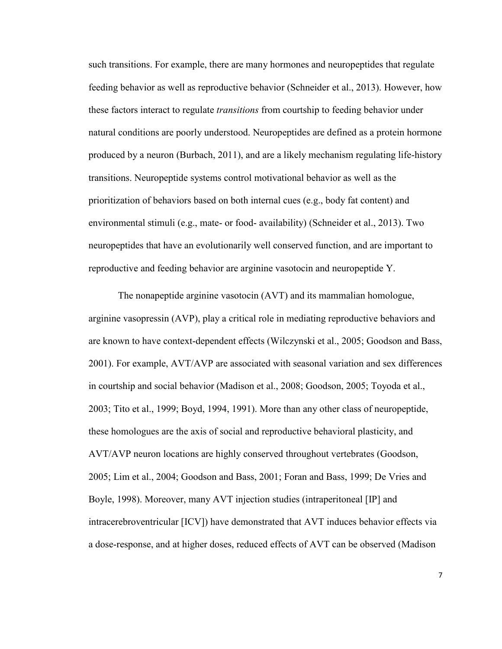such transitions. For example, there are many hormones and neuropeptides that regulate feeding behavior as well as reproductive behavior (Schneider et al., 2013). However, how these factors interact to regulate *transitions* from courtship to feeding behavior under natural conditions are poorly understood. Neuropeptides are defined as a protein hormone produced by a neuron (Burbach, 2011), and are a likely mechanism regulating life-history transitions. Neuropeptide systems control motivational behavior as well as the prioritization of behaviors based on both internal cues (e.g., body fat content) and environmental stimuli (e.g., mate- or food- availability) (Schneider et al., 2013). Two neuropeptides that have an evolutionarily well conserved function, and are important to reproductive and feeding behavior are arginine vasotocin and neuropeptide Y.

The nonapeptide arginine vasotocin (AVT) and its mammalian homologue, arginine vasopressin (AVP), play a critical role in mediating reproductive behaviors and are known to have context-dependent effects (Wilczynski et al., 2005; Goodson and Bass, 2001). For example, AVT/AVP are associated with seasonal variation and sex differences in courtship and social behavior (Madison et al., 2008; Goodson, 2005; Toyoda et al., 2003; Tito et al., 1999; Boyd, 1994, 1991). More than any other class of neuropeptide, these homologues are the axis of social and reproductive behavioral plasticity, and AVT/AVP neuron locations are highly conserved throughout vertebrates (Goodson, 2005; Lim et al., 2004; Goodson and Bass, 2001; Foran and Bass, 1999; De Vries and Boyle, 1998). Moreover, many AVT injection studies (intraperitoneal [IP] and intracerebroventricular [ICV]) have demonstrated that AVT induces behavior effects via a dose-response, and at higher doses, reduced effects of AVT can be observed (Madison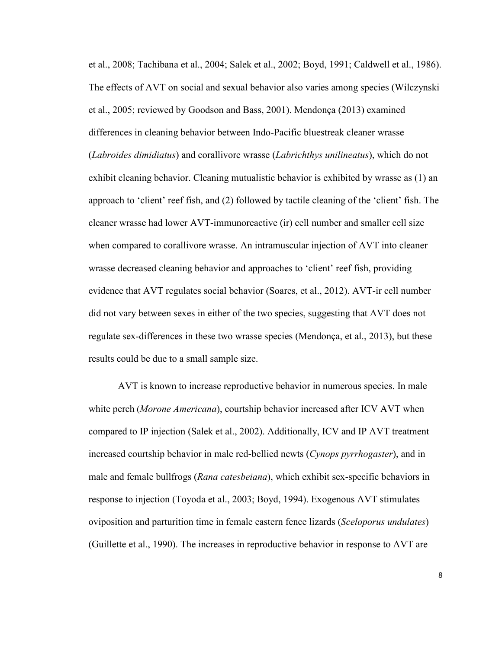et al., 2008; Tachibana et al., 2004; Salek et al., 2002; Boyd, 1991; Caldwell et al., 1986). The effects of AVT on social and sexual behavior also varies among species (Wilczynski et al., 2005; reviewed by Goodson and Bass, 2001). Mendonça (2013) examined differences in cleaning behavior between Indo-Pacific bluestreak cleaner wrasse (*Labroides dimidiatus*) and corallivore wrasse (*Labrichthys unilineatus*), which do not exhibit cleaning behavior. Cleaning mutualistic behavior is exhibited by wrasse as (1) an approach to 'client' reef fish, and (2) followed by tactile cleaning of the 'client' fish. The cleaner wrasse had lower AVT-immunoreactive (ir) cell number and smaller cell size when compared to corallivore wrasse. An intramuscular injection of AVT into cleaner wrasse decreased cleaning behavior and approaches to 'client' reef fish, providing evidence that AVT regulates social behavior (Soares, et al., 2012). AVT-ir cell number did not vary between sexes in either of the two species, suggesting that AVT does not regulate sex-differences in these two wrasse species (Mendonça, et al., 2013), but these results could be due to a small sample size.

AVT is known to increase reproductive behavior in numerous species. In male white perch (*Morone Americana*), courtship behavior increased after ICV AVT when compared to IP injection (Salek et al., 2002). Additionally, ICV and IP AVT treatment increased courtship behavior in male red-bellied newts (*Cynops pyrrhogaster*), and in male and female bullfrogs (*Rana catesbeiana*), which exhibit sex-specific behaviors in response to injection (Toyoda et al., 2003; Boyd, 1994). Exogenous AVT stimulates oviposition and parturition time in female eastern fence lizards (*Sceloporus undulates*) (Guillette et al., 1990). The increases in reproductive behavior in response to AVT are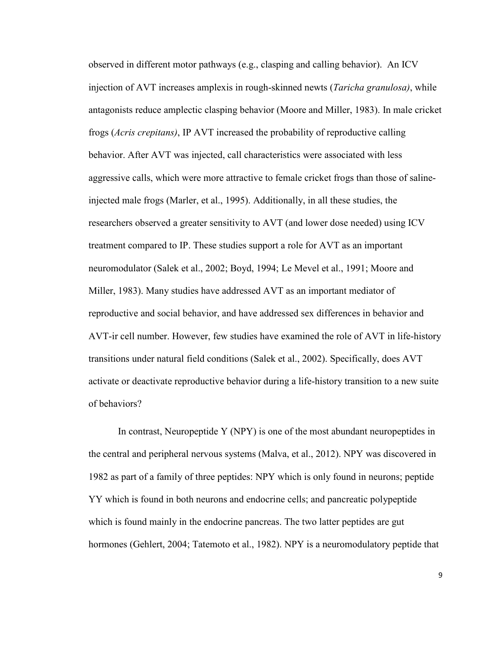observed in different motor pathways (e.g., clasping and calling behavior). An ICV injection of AVT increases amplexis in rough-skinned newts (*Taricha granulosa)*, while antagonists reduce amplectic clasping behavior (Moore and Miller, 1983). In male cricket frogs (*Acris crepitans)*, IP AVT increased the probability of reproductive calling behavior. After AVT was injected, call characteristics were associated with less aggressive calls, which were more attractive to female cricket frogs than those of salineinjected male frogs (Marler, et al., 1995). Additionally, in all these studies, the researchers observed a greater sensitivity to AVT (and lower dose needed) using ICV treatment compared to IP. These studies support a role for AVT as an important neuromodulator (Salek et al., 2002; Boyd, 1994; Le Mevel et al., 1991; Moore and Miller, 1983). Many studies have addressed AVT as an important mediator of reproductive and social behavior, and have addressed sex differences in behavior and AVT-ir cell number. However, few studies have examined the role of AVT in life-history transitions under natural field conditions (Salek et al., 2002). Specifically, does AVT activate or deactivate reproductive behavior during a life-history transition to a new suite of behaviors?

In contrast, Neuropeptide Y (NPY) is one of the most abundant neuropeptides in the central and peripheral nervous systems (Malva, et al., 2012). NPY was discovered in 1982 as part of a family of three peptides: NPY which is only found in neurons; peptide YY which is found in both neurons and endocrine cells; and pancreatic polypeptide which is found mainly in the endocrine pancreas. The two latter peptides are gut hormones (Gehlert, 2004; Tatemoto et al., 1982). NPY is a neuromodulatory peptide that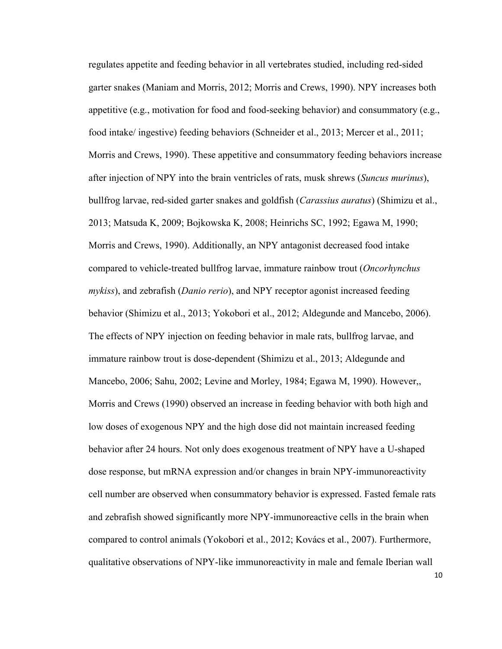regulates appetite and feeding behavior in all vertebrates studied, including red-sided garter snakes (Maniam and Morris, 2012; Morris and Crews, 1990). NPY increases both appetitive (e.g., motivation for food and food-seeking behavior) and consummatory (e.g., food intake/ ingestive) feeding behaviors (Schneider et al., 2013; Mercer et al., 2011; Morris and Crews, 1990). These appetitive and consummatory feeding behaviors increase after injection of NPY into the brain ventricles of rats, musk shrews (*Suncus murinus*), bullfrog larvae, red-sided garter snakes and goldfish (*Carassius auratus*) (Shimizu et al., 2013; Matsuda K, 2009; Bojkowska K, 2008; Heinrichs SC, 1992; Egawa M, 1990; Morris and Crews, 1990). Additionally, an NPY antagonist decreased food intake compared to vehicle-treated bullfrog larvae, immature rainbow trout (*Oncorhynchus mykiss*), and zebrafish (*Danio rerio*), and NPY receptor agonist increased feeding behavior (Shimizu et al., 2013; Yokobori et al., 2012; Aldegunde and Mancebo, 2006). The effects of NPY injection on feeding behavior in male rats, bullfrog larvae, and immature rainbow trout is dose-dependent (Shimizu et al., 2013; Aldegunde and Mancebo, 2006; Sahu, 2002; Levine and Morley, 1984; Egawa M, 1990). However,, Morris and Crews (1990) observed an increase in feeding behavior with both high and low doses of exogenous NPY and the high dose did not maintain increased feeding behavior after 24 hours. Not only does exogenous treatment of NPY have a U-shaped dose response, but mRNA expression and/or changes in brain NPY-immunoreactivity cell number are observed when consummatory behavior is expressed. Fasted female rats and zebrafish showed significantly more NPY-immunoreactive cells in the brain when compared to control animals (Yokobori et al., 2012; Kovács et al., 2007). Furthermore, qualitative observations of NPY-like immunoreactivity in male and female Iberian wall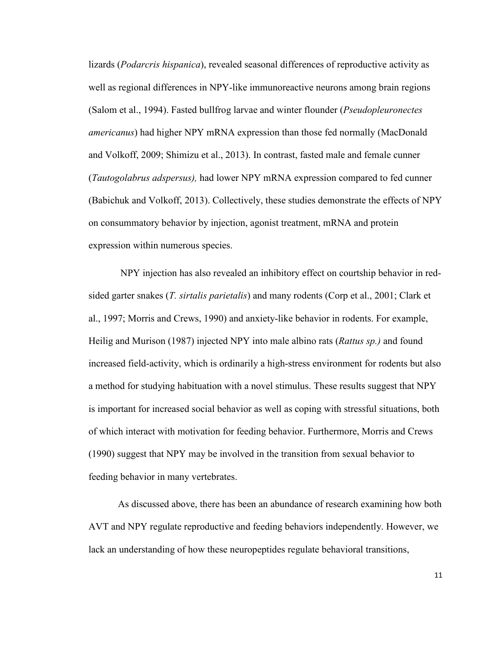lizards (*Podarcris hispanica*), revealed seasonal differences of reproductive activity as well as regional differences in NPY-like immunoreactive neurons among brain regions (Salom et al., 1994). Fasted bullfrog larvae and winter flounder (*Pseudopleuronectes americanus*) had higher NPY mRNA expression than those fed normally (MacDonald and Volkoff, 2009; Shimizu et al., 2013). In contrast, fasted male and female cunner (*Tautogolabrus adspersus),* had lower NPY mRNA expression compared to fed cunner (Babichuk and Volkoff, 2013). Collectively, these studies demonstrate the effects of NPY on consummatory behavior by injection, agonist treatment, mRNA and protein expression within numerous species.

 NPY injection has also revealed an inhibitory effect on courtship behavior in redsided garter snakes (*T. sirtalis parietalis*) and many rodents (Corp et al., 2001; Clark et al., 1997; Morris and Crews, 1990) and anxiety-like behavior in rodents. For example, Heilig and Murison (1987) injected NPY into male albino rats (*Rattus sp.)* and found increased field-activity, which is ordinarily a high-stress environment for rodents but also a method for studying habituation with a novel stimulus. These results suggest that NPY is important for increased social behavior as well as coping with stressful situations, both of which interact with motivation for feeding behavior. Furthermore, Morris and Crews (1990) suggest that NPY may be involved in the transition from sexual behavior to feeding behavior in many vertebrates.

As discussed above, there has been an abundance of research examining how both AVT and NPY regulate reproductive and feeding behaviors independently. However, we lack an understanding of how these neuropeptides regulate behavioral transitions,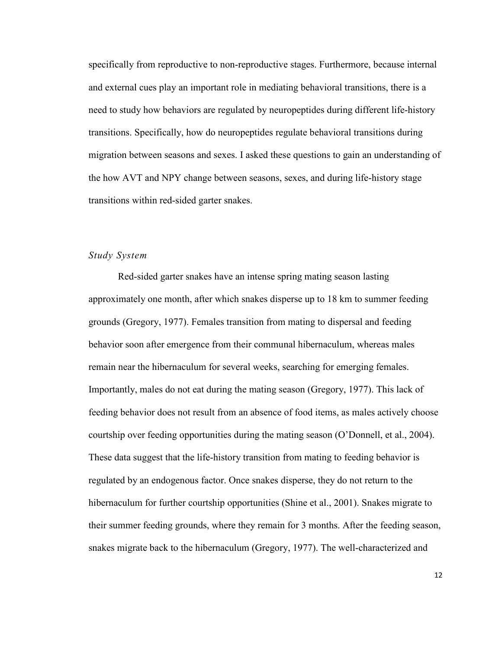specifically from reproductive to non-reproductive stages. Furthermore, because internal and external cues play an important role in mediating behavioral transitions, there is a need to study how behaviors are regulated by neuropeptides during different life-history transitions. Specifically, how do neuropeptides regulate behavioral transitions during migration between seasons and sexes. I asked these questions to gain an understanding of the how AVT and NPY change between seasons, sexes, and during life-history stage transitions within red-sided garter snakes.

#### *Study System*

Red-sided garter snakes have an intense spring mating season lasting approximately one month, after which snakes disperse up to 18 km to summer feeding grounds (Gregory, 1977). Females transition from mating to dispersal and feeding behavior soon after emergence from their communal hibernaculum, whereas males remain near the hibernaculum for several weeks, searching for emerging females. Importantly, males do not eat during the mating season (Gregory, 1977). This lack of feeding behavior does not result from an absence of food items, as males actively choose courtship over feeding opportunities during the mating season (O'Donnell, et al., 2004). These data suggest that the life-history transition from mating to feeding behavior is regulated by an endogenous factor. Once snakes disperse, they do not return to the hibernaculum for further courtship opportunities (Shine et al., 2001). Snakes migrate to their summer feeding grounds, where they remain for 3 months. After the feeding season, snakes migrate back to the hibernaculum (Gregory, 1977). The well-characterized and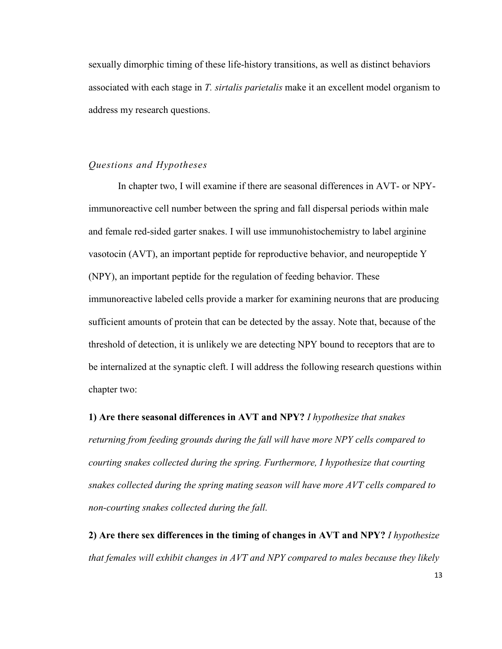sexually dimorphic timing of these life-history transitions, as well as distinct behaviors associated with each stage in *T. sirtalis parietalis* make it an excellent model organism to address my research questions.

#### *Questions and Hypotheses*

In chapter two, I will examine if there are seasonal differences in AVT- or NPYimmunoreactive cell number between the spring and fall dispersal periods within male and female red-sided garter snakes. I will use immunohistochemistry to label arginine vasotocin (AVT), an important peptide for reproductive behavior, and neuropeptide Y (NPY), an important peptide for the regulation of feeding behavior. These immunoreactive labeled cells provide a marker for examining neurons that are producing sufficient amounts of protein that can be detected by the assay. Note that, because of the threshold of detection, it is unlikely we are detecting NPY bound to receptors that are to be internalized at the synaptic cleft. I will address the following research questions within chapter two:

**1) Are there seasonal differences in AVT and NPY?** *I hypothesize that snakes* 

*returning from feeding grounds during the fall will have more NPY cells compared to courting snakes collected during the spring. Furthermore, I hypothesize that courting snakes collected during the spring mating season will have more AVT cells compared to non-courting snakes collected during the fall.*

**2) Are there sex differences in the timing of changes in AVT and NPY?** *I hypothesize that females will exhibit changes in AVT and NPY compared to males because they likely*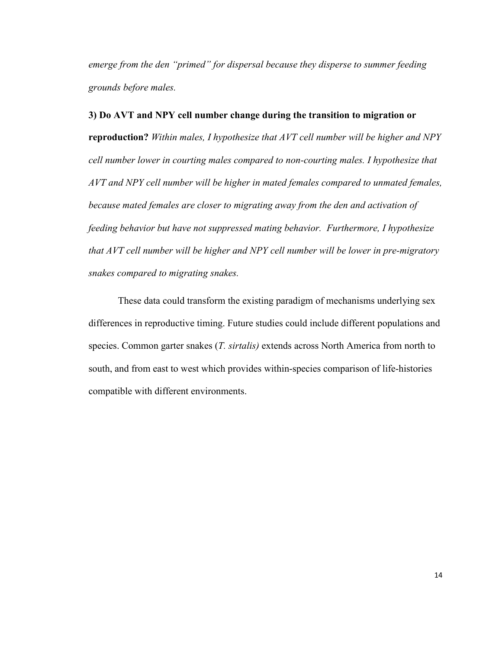*emerge from the den "primed" for dispersal because they disperse to summer feeding grounds before males.* 

#### **3) Do AVT and NPY cell number change during the transition to migration or**

**reproduction?** *Within males, I hypothesize that AVT cell number will be higher and NPY cell number lower in courting males compared to non-courting males. I hypothesize that AVT and NPY cell number will be higher in mated females compared to unmated females, because mated females are closer to migrating away from the den and activation of feeding behavior but have not suppressed mating behavior. Furthermore, I hypothesize that AVT cell number will be higher and NPY cell number will be lower in pre-migratory snakes compared to migrating snakes.* 

These data could transform the existing paradigm of mechanisms underlying sex differences in reproductive timing. Future studies could include different populations and species. Common garter snakes (*T. sirtalis)* extends across North America from north to south, and from east to west which provides within-species comparison of life-histories compatible with different environments.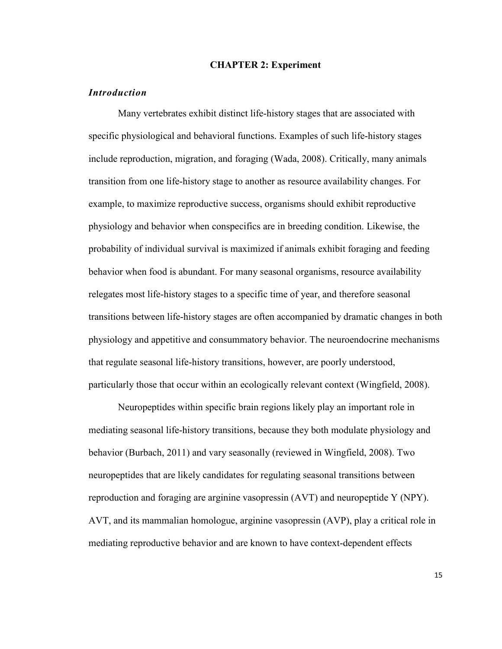#### **CHAPTER 2: Experiment**

#### *Introduction*

Many vertebrates exhibit distinct life-history stages that are associated with specific physiological and behavioral functions. Examples of such life-history stages include reproduction, migration, and foraging (Wada, 2008). Critically, many animals transition from one life-history stage to another as resource availability changes. For example, to maximize reproductive success, organisms should exhibit reproductive physiology and behavior when conspecifics are in breeding condition. Likewise, the probability of individual survival is maximized if animals exhibit foraging and feeding behavior when food is abundant. For many seasonal organisms, resource availability relegates most life-history stages to a specific time of year, and therefore seasonal transitions between life-history stages are often accompanied by dramatic changes in both physiology and appetitive and consummatory behavior. The neuroendocrine mechanisms that regulate seasonal life-history transitions, however, are poorly understood, particularly those that occur within an ecologically relevant context (Wingfield, 2008).

Neuropeptides within specific brain regions likely play an important role in mediating seasonal life-history transitions, because they both modulate physiology and behavior (Burbach, 2011) and vary seasonally (reviewed in Wingfield, 2008). Two neuropeptides that are likely candidates for regulating seasonal transitions between reproduction and foraging are arginine vasopressin (AVT) and neuropeptide Y (NPY). AVT, and its mammalian homologue, arginine vasopressin (AVP), play a critical role in mediating reproductive behavior and are known to have context-dependent effects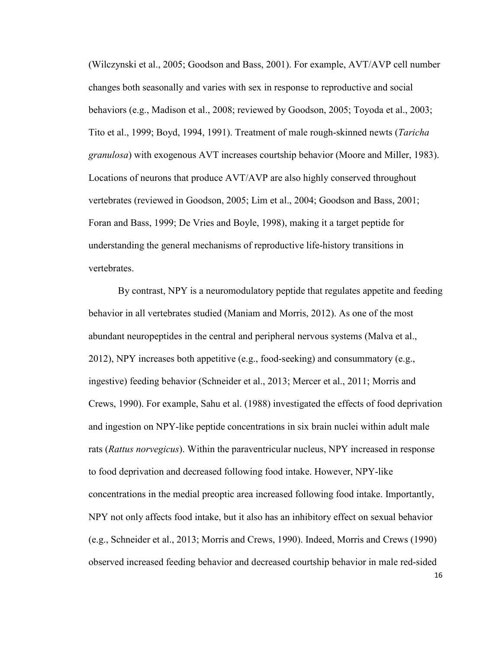(Wilczynski et al., 2005; Goodson and Bass, 2001). For example, AVT/AVP cell number changes both seasonally and varies with sex in response to reproductive and social behaviors (e.g., Madison et al., 2008; reviewed by Goodson, 2005; Toyoda et al., 2003; Tito et al., 1999; Boyd, 1994, 1991). Treatment of male rough-skinned newts (*Taricha granulosa*) with exogenous AVT increases courtship behavior (Moore and Miller, 1983). Locations of neurons that produce AVT/AVP are also highly conserved throughout vertebrates (reviewed in Goodson, 2005; Lim et al., 2004; Goodson and Bass, 2001; Foran and Bass, 1999; De Vries and Boyle, 1998), making it a target peptide for understanding the general mechanisms of reproductive life-history transitions in vertebrates.

By contrast, NPY is a neuromodulatory peptide that regulates appetite and feeding behavior in all vertebrates studied (Maniam and Morris, 2012). As one of the most abundant neuropeptides in the central and peripheral nervous systems (Malva et al., 2012), NPY increases both appetitive (e.g., food-seeking) and consummatory (e.g., ingestive) feeding behavior (Schneider et al., 2013; Mercer et al., 2011; Morris and Crews, 1990). For example, Sahu et al. (1988) investigated the effects of food deprivation and ingestion on NPY-like peptide concentrations in six brain nuclei within adult male rats (*Rattus norvegicus*). Within the paraventricular nucleus, NPY increased in response to food deprivation and decreased following food intake. However, NPY-like concentrations in the medial preoptic area increased following food intake. Importantly, NPY not only affects food intake, but it also has an inhibitory effect on sexual behavior (e.g., Schneider et al., 2013; Morris and Crews, 1990). Indeed, Morris and Crews (1990) observed increased feeding behavior and decreased courtship behavior in male red-sided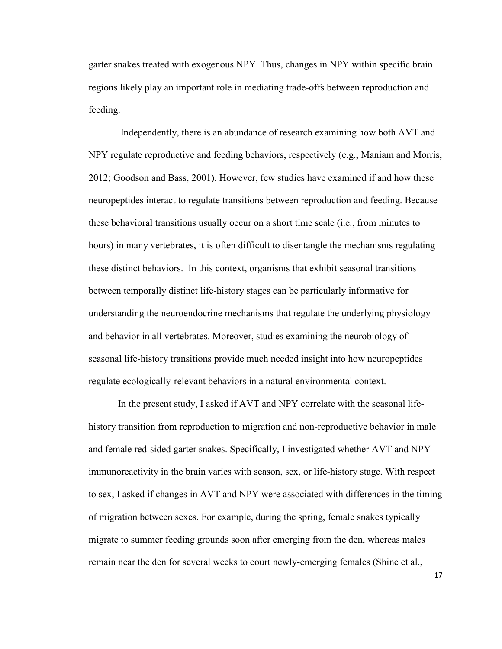garter snakes treated with exogenous NPY. Thus, changes in NPY within specific brain regions likely play an important role in mediating trade-offs between reproduction and feeding.

 Independently, there is an abundance of research examining how both AVT and NPY regulate reproductive and feeding behaviors, respectively (e.g., Maniam and Morris, 2012; Goodson and Bass, 2001). However, few studies have examined if and how these neuropeptides interact to regulate transitions between reproduction and feeding. Because these behavioral transitions usually occur on a short time scale (i.e., from minutes to hours) in many vertebrates, it is often difficult to disentangle the mechanisms regulating these distinct behaviors. In this context, organisms that exhibit seasonal transitions between temporally distinct life-history stages can be particularly informative for understanding the neuroendocrine mechanisms that regulate the underlying physiology and behavior in all vertebrates. Moreover, studies examining the neurobiology of seasonal life-history transitions provide much needed insight into how neuropeptides regulate ecologically-relevant behaviors in a natural environmental context.

In the present study, I asked if AVT and NPY correlate with the seasonal lifehistory transition from reproduction to migration and non-reproductive behavior in male and female red-sided garter snakes. Specifically, I investigated whether AVT and NPY immunoreactivity in the brain varies with season, sex, or life-history stage. With respect to sex, I asked if changes in AVT and NPY were associated with differences in the timing of migration between sexes. For example, during the spring, female snakes typically migrate to summer feeding grounds soon after emerging from the den, whereas males remain near the den for several weeks to court newly-emerging females (Shine et al.,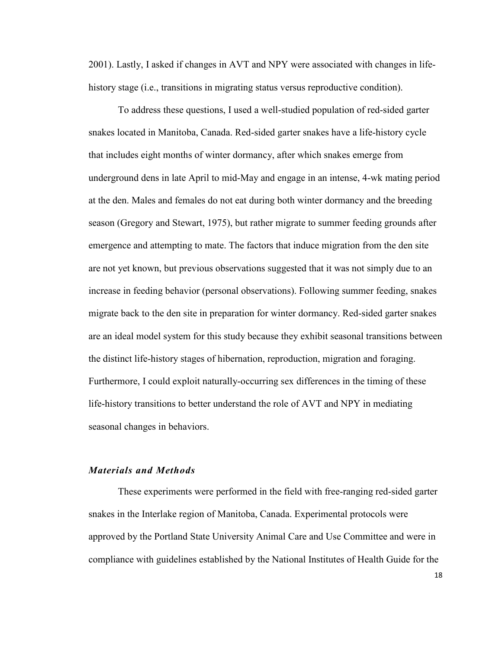2001). Lastly, I asked if changes in AVT and NPY were associated with changes in lifehistory stage (i.e., transitions in migrating status versus reproductive condition).

To address these questions, I used a well-studied population of red-sided garter snakes located in Manitoba, Canada. Red-sided garter snakes have a life-history cycle that includes eight months of winter dormancy, after which snakes emerge from underground dens in late April to mid-May and engage in an intense, 4-wk mating period at the den. Males and females do not eat during both winter dormancy and the breeding season (Gregory and Stewart, 1975), but rather migrate to summer feeding grounds after emergence and attempting to mate. The factors that induce migration from the den site are not yet known, but previous observations suggested that it was not simply due to an increase in feeding behavior (personal observations). Following summer feeding, snakes migrate back to the den site in preparation for winter dormancy. Red-sided garter snakes are an ideal model system for this study because they exhibit seasonal transitions between the distinct life-history stages of hibernation, reproduction, migration and foraging. Furthermore, I could exploit naturally-occurring sex differences in the timing of these life-history transitions to better understand the role of AVT and NPY in mediating seasonal changes in behaviors.

#### *Materials and Methods*

These experiments were performed in the field with free-ranging red-sided garter snakes in the Interlake region of Manitoba, Canada. Experimental protocols were approved by the Portland State University Animal Care and Use Committee and were in compliance with guidelines established by the National Institutes of Health Guide for the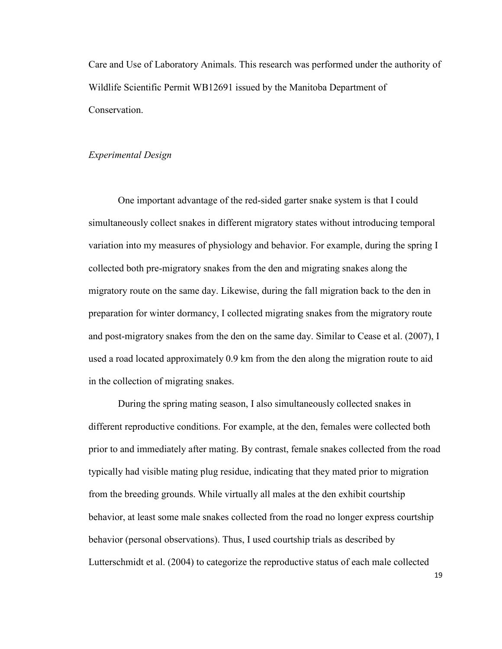Care and Use of Laboratory Animals. This research was performed under the authority of Wildlife Scientific Permit WB12691 issued by the Manitoba Department of Conservation.

#### *Experimental Design*

One important advantage of the red-sided garter snake system is that I could simultaneously collect snakes in different migratory states without introducing temporal variation into my measures of physiology and behavior. For example, during the spring I collected both pre-migratory snakes from the den and migrating snakes along the migratory route on the same day. Likewise, during the fall migration back to the den in preparation for winter dormancy, I collected migrating snakes from the migratory route and post-migratory snakes from the den on the same day. Similar to Cease et al. (2007), I used a road located approximately 0.9 km from the den along the migration route to aid in the collection of migrating snakes.

During the spring mating season, I also simultaneously collected snakes in different reproductive conditions. For example, at the den, females were collected both prior to and immediately after mating. By contrast, female snakes collected from the road typically had visible mating plug residue, indicating that they mated prior to migration from the breeding grounds. While virtually all males at the den exhibit courtship behavior, at least some male snakes collected from the road no longer express courtship behavior (personal observations). Thus, I used courtship trials as described by Lutterschmidt et al. (2004) to categorize the reproductive status of each male collected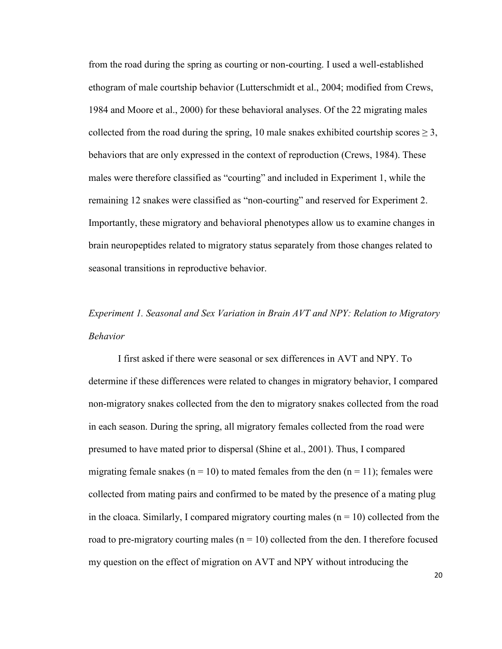from the road during the spring as courting or non-courting. I used a well-established ethogram of male courtship behavior (Lutterschmidt et al., 2004; modified from Crews, 1984 and Moore et al., 2000) for these behavioral analyses. Of the 22 migrating males collected from the road during the spring, 10 male snakes exhibited courtship scores  $\geq 3$ , behaviors that are only expressed in the context of reproduction (Crews, 1984). These males were therefore classified as "courting" and included in Experiment 1, while the remaining 12 snakes were classified as "non-courting" and reserved for Experiment 2. Importantly, these migratory and behavioral phenotypes allow us to examine changes in brain neuropeptides related to migratory status separately from those changes related to seasonal transitions in reproductive behavior.

## *Experiment 1. Seasonal and Sex Variation in Brain AVT and NPY: Relation to Migratory Behavior*

I first asked if there were seasonal or sex differences in AVT and NPY. To determine if these differences were related to changes in migratory behavior, I compared non-migratory snakes collected from the den to migratory snakes collected from the road in each season. During the spring, all migratory females collected from the road were presumed to have mated prior to dispersal (Shine et al., 2001). Thus, I compared migrating female snakes ( $n = 10$ ) to mated females from the den ( $n = 11$ ); females were collected from mating pairs and confirmed to be mated by the presence of a mating plug in the cloaca. Similarly, I compared migratory courting males  $(n = 10)$  collected from the road to pre-migratory courting males  $(n = 10)$  collected from the den. I therefore focused my question on the effect of migration on AVT and NPY without introducing the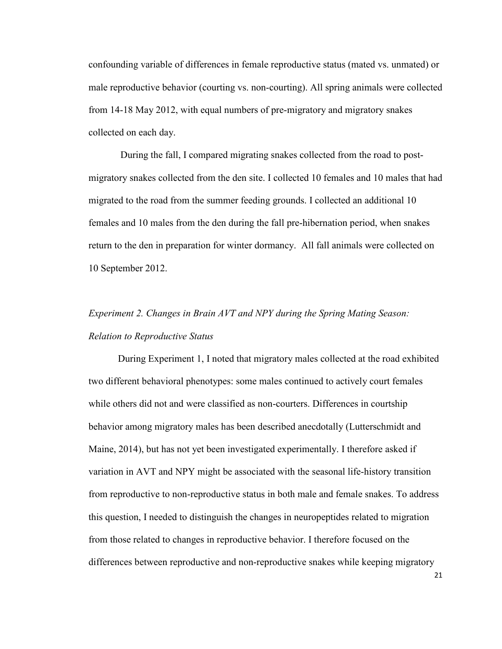confounding variable of differences in female reproductive status (mated vs. unmated) or male reproductive behavior (courting vs. non-courting). All spring animals were collected from 14-18 May 2012, with equal numbers of pre-migratory and migratory snakes collected on each day.

 During the fall, I compared migrating snakes collected from the road to postmigratory snakes collected from the den site. I collected 10 females and 10 males that had migrated to the road from the summer feeding grounds. I collected an additional 10 females and 10 males from the den during the fall pre-hibernation period, when snakes return to the den in preparation for winter dormancy. All fall animals were collected on 10 September 2012.

# *Experiment 2. Changes in Brain AVT and NPY during the Spring Mating Season: Relation to Reproductive Status*

During Experiment 1, I noted that migratory males collected at the road exhibited two different behavioral phenotypes: some males continued to actively court females while others did not and were classified as non-courters. Differences in courtship behavior among migratory males has been described anecdotally (Lutterschmidt and Maine, 2014), but has not yet been investigated experimentally. I therefore asked if variation in AVT and NPY might be associated with the seasonal life-history transition from reproductive to non-reproductive status in both male and female snakes. To address this question, I needed to distinguish the changes in neuropeptides related to migration from those related to changes in reproductive behavior. I therefore focused on the differences between reproductive and non-reproductive snakes while keeping migratory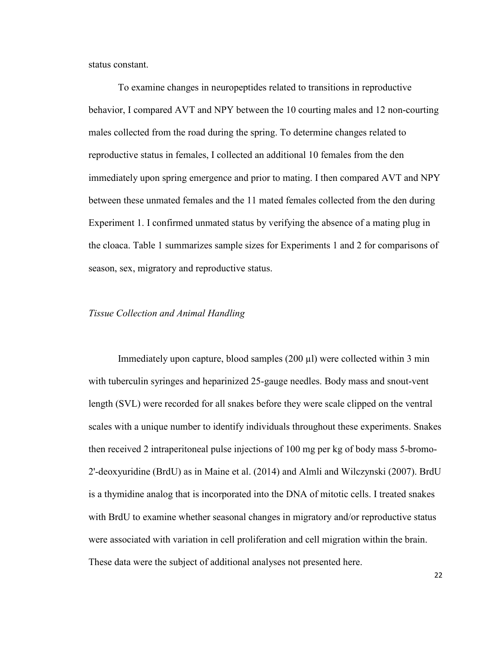status constant.

To examine changes in neuropeptides related to transitions in reproductive behavior, I compared AVT and NPY between the 10 courting males and 12 non-courting males collected from the road during the spring. To determine changes related to reproductive status in females, I collected an additional 10 females from the den immediately upon spring emergence and prior to mating. I then compared AVT and NPY between these unmated females and the 11 mated females collected from the den during Experiment 1. I confirmed unmated status by verifying the absence of a mating plug in the cloaca. Table 1 summarizes sample sizes for Experiments 1 and 2 for comparisons of season, sex, migratory and reproductive status.

#### *Tissue Collection and Animal Handling*

Immediately upon capture, blood samples  $(200 \mu l)$  were collected within 3 min with tuberculin syringes and heparinized 25-gauge needles. Body mass and snout-vent length (SVL) were recorded for all snakes before they were scale clipped on the ventral scales with a unique number to identify individuals throughout these experiments. Snakes then received 2 intraperitoneal pulse injections of 100 mg per kg of body mass 5-bromo-2'-deoxyuridine (BrdU) as in Maine et al. (2014) and Almli and Wilczynski (2007). BrdU is a thymidine analog that is incorporated into the DNA of mitotic cells. I treated snakes with BrdU to examine whether seasonal changes in migratory and/or reproductive status were associated with variation in cell proliferation and cell migration within the brain. These data were the subject of additional analyses not presented here.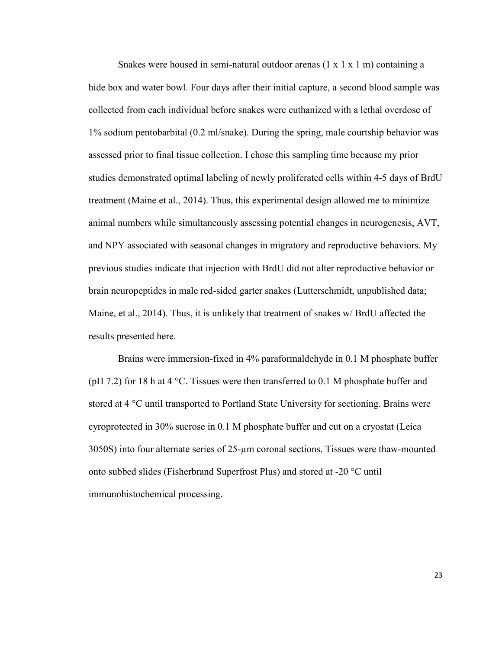Snakes were housed in semi-natural outdoor arenas  $(1 \times 1 \times 1)$  m containing a hide box and water bowl. Four days after their initial capture, a second blood sample was collected from each individual before snakes were euthanized with a lethal overdose of 1% sodium pentobarbital (0.2 ml/snake). During the spring, male courtship behavior was assessed prior to final tissue collection. I chose this sampling time because my prior studies demonstrated optimal labeling of newly proliferated cells within 4-5 days of BrdU treatment (Maine et al., 2014). Thus, this experimental design allowed me to minimize animal numbers while simultaneously assessing potential changes in neurogenesis, AVT, and NPY associated with seasonal changes in migratory and reproductive behaviors. My previous studies indicate that injection with BrdU did not alter reproductive behavior or brain neuropeptides in male red-sided garter snakes (Lutterschmidt, unpublished data; Maine, et al., 2014). Thus, it is unlikely that treatment of snakes w/ BrdU affected the results presented here.

Brains were immersion-fixed in 4% paraformaldehyde in 0.1 M phosphate buffer (pH 7.2) for 18 h at 4  $\degree$ C. Tissues were then transferred to 0.1 M phosphate buffer and stored at 4 °C until transported to Portland State University for sectioning. Brains were cyroprotected in 30% sucrose in 0.1 M phosphate buffer and cut on a cryostat (Leica 3050S) into four alternate series of 25-µm coronal sections. Tissues were thaw-mounted onto subbed slides (Fisherbrand Superfrost Plus) and stored at -20 °C until immunohistochemical processing.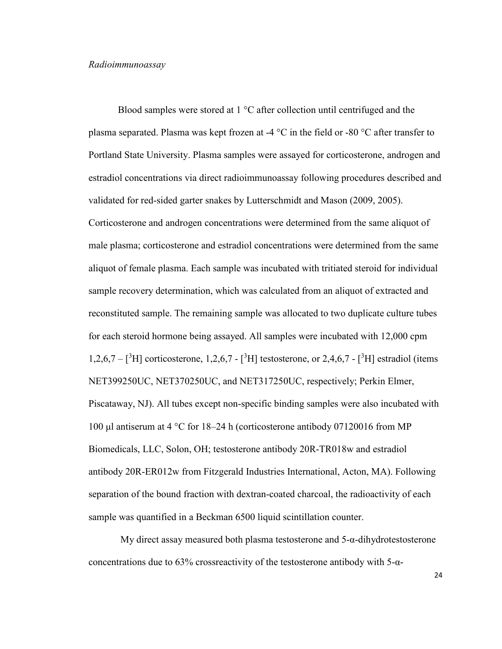#### *Radioimmunoassay*

Blood samples were stored at 1 °C after collection until centrifuged and the plasma separated. Plasma was kept frozen at -4  $\degree$ C in the field or -80  $\degree$ C after transfer to Portland State University. Plasma samples were assayed for corticosterone, androgen and estradiol concentrations via direct radioimmunoassay following procedures described and validated for red-sided garter snakes by Lutterschmidt and Mason (2009, 2005). Corticosterone and androgen concentrations were determined from the same aliquot of male plasma; corticosterone and estradiol concentrations were determined from the same aliquot of female plasma. Each sample was incubated with tritiated steroid for individual sample recovery determination, which was calculated from an aliquot of extracted and reconstituted sample. The remaining sample was allocated to two duplicate culture tubes for each steroid hormone being assayed. All samples were incubated with 12,000 cpm  $1,2,6,7 - \binom{3}{1}$  corticosterone, 1,2,6,7 -  $\binom{3}{1}$  testosterone, or 2,4,6,7 -  $\binom{3}{1}$  estradiol (items NET399250UC, NET370250UC, and NET317250UC, respectively; Perkin Elmer, Piscataway, NJ). All tubes except non-specific binding samples were also incubated with 100 μl antiserum at 4 °C for 18–24 h (corticosterone antibody 07120016 from MP Biomedicals, LLC, Solon, OH; testosterone antibody 20R-TR018w and estradiol antibody 20R-ER012w from Fitzgerald Industries International, Acton, MA). Following separation of the bound fraction with dextran-coated charcoal, the radioactivity of each sample was quantified in a Beckman 6500 liquid scintillation counter.

 My direct assay measured both plasma testosterone and 5-α-dihydrotestosterone concentrations due to 63% crossreactivity of the testosterone antibody with  $5-\alpha$ -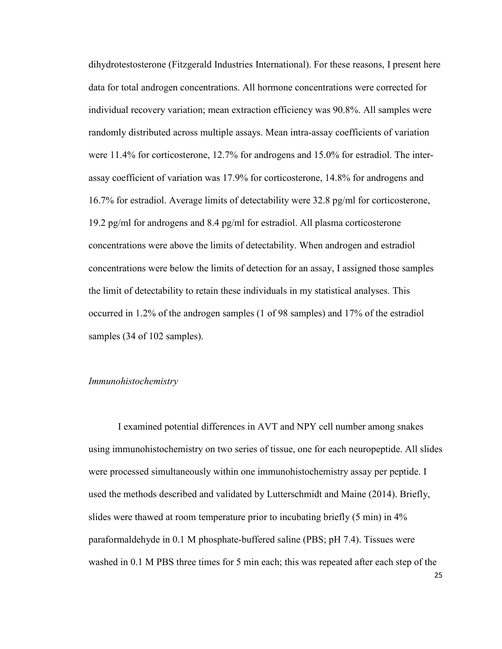dihydrotestosterone (Fitzgerald Industries International). For these reasons, I present here data for total androgen concentrations. All hormone concentrations were corrected for individual recovery variation; mean extraction efficiency was 90.8%. All samples were randomly distributed across multiple assays. Mean intra-assay coefficients of variation were 11.4% for corticosterone, 12.7% for androgens and 15.0% for estradiol. The interassay coefficient of variation was 17.9% for corticosterone, 14.8% for androgens and 16.7% for estradiol. Average limits of detectability were 32.8 pg/ml for corticosterone, 19.2 pg/ml for androgens and 8.4 pg/ml for estradiol. All plasma corticosterone concentrations were above the limits of detectability. When androgen and estradiol concentrations were below the limits of detection for an assay, I assigned those samples the limit of detectability to retain these individuals in my statistical analyses. This occurred in 1.2% of the androgen samples (1 of 98 samples) and 17% of the estradiol samples (34 of 102 samples).

#### *Immunohistochemistry*

I examined potential differences in AVT and NPY cell number among snakes using immunohistochemistry on two series of tissue, one for each neuropeptide. All slides were processed simultaneously within one immunohistochemistry assay per peptide. I used the methods described and validated by Lutterschmidt and Maine (2014). Briefly, slides were thawed at room temperature prior to incubating briefly (5 min) in 4% paraformaldehyde in 0.1 M phosphate-buffered saline (PBS; pH 7.4). Tissues were washed in 0.1 M PBS three times for 5 min each; this was repeated after each step of the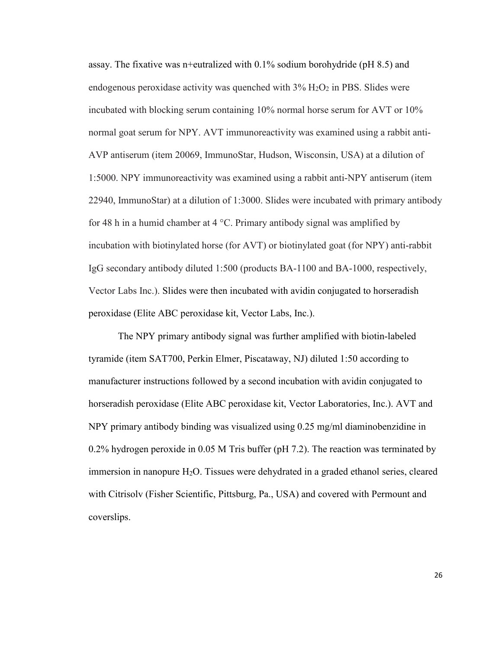assay. The fixative was n+eutralized with 0.1% sodium borohydride (pH 8.5) and endogenous peroxidase activity was quenched with  $3\%$  H<sub>2</sub>O<sub>2</sub> in PBS. Slides were incubated with blocking serum containing 10% normal horse serum for AVT or 10% normal goat serum for NPY. AVT immunoreactivity was examined using a rabbit anti-AVP antiserum (item 20069, ImmunoStar, Hudson, Wisconsin, USA) at a dilution of 1:5000. NPY immunoreactivity was examined using a rabbit anti-NPY antiserum (item 22940, ImmunoStar) at a dilution of 1:3000. Slides were incubated with primary antibody for 48 h in a humid chamber at 4  $\degree$ C. Primary antibody signal was amplified by incubation with biotinylated horse (for AVT) or biotinylated goat (for NPY) anti-rabbit IgG secondary antibody diluted 1:500 (products BA-1100 and BA-1000, respectively, Vector Labs Inc.). Slides were then incubated with avidin conjugated to horseradish peroxidase (Elite ABC peroxidase kit, Vector Labs, Inc.).

The NPY primary antibody signal was further amplified with biotin-labeled tyramide (item SAT700, Perkin Elmer, Piscataway, NJ) diluted 1:50 according to manufacturer instructions followed by a second incubation with avidin conjugated to horseradish peroxidase (Elite ABC peroxidase kit, Vector Laboratories, Inc.). AVT and NPY primary antibody binding was visualized using 0.25 mg/ml diaminobenzidine in 0.2% hydrogen peroxide in 0.05 M Tris buffer (pH 7.2). The reaction was terminated by immersion in nanopure H<sub>2</sub>O. Tissues were dehydrated in a graded ethanol series, cleared with Citrisolv (Fisher Scientific, Pittsburg, Pa., USA) and covered with Permount and coverslips.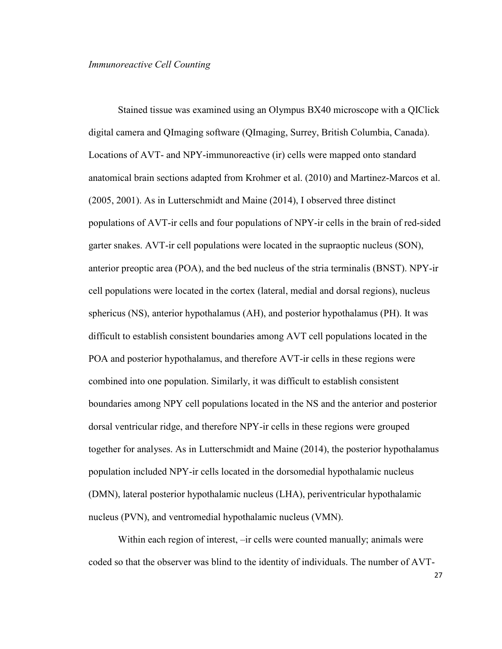## *Immunoreactive Cell Counting*

Stained tissue was examined using an Olympus BX40 microscope with a QIClick digital camera and QImaging software (QImaging, Surrey, British Columbia, Canada). Locations of AVT- and NPY-immunoreactive (ir) cells were mapped onto standard anatomical brain sections adapted from Krohmer et al. (2010) and Martinez-Marcos et al. (2005, 2001). As in Lutterschmidt and Maine (2014), I observed three distinct populations of AVT-ir cells and four populations of NPY-ir cells in the brain of red-sided garter snakes. AVT-ir cell populations were located in the supraoptic nucleus (SON), anterior preoptic area (POA), and the bed nucleus of the stria terminalis (BNST). NPY-ir cell populations were located in the cortex (lateral, medial and dorsal regions), nucleus sphericus (NS), anterior hypothalamus (AH), and posterior hypothalamus (PH). It was difficult to establish consistent boundaries among AVT cell populations located in the POA and posterior hypothalamus, and therefore AVT-ir cells in these regions were combined into one population. Similarly, it was difficult to establish consistent boundaries among NPY cell populations located in the NS and the anterior and posterior dorsal ventricular ridge, and therefore NPY-ir cells in these regions were grouped together for analyses. As in Lutterschmidt and Maine (2014), the posterior hypothalamus population included NPY-ir cells located in the dorsomedial hypothalamic nucleus (DMN), lateral posterior hypothalamic nucleus (LHA), periventricular hypothalamic nucleus (PVN), and ventromedial hypothalamic nucleus (VMN).

Within each region of interest, –ir cells were counted manually; animals were coded so that the observer was blind to the identity of individuals. The number of AVT-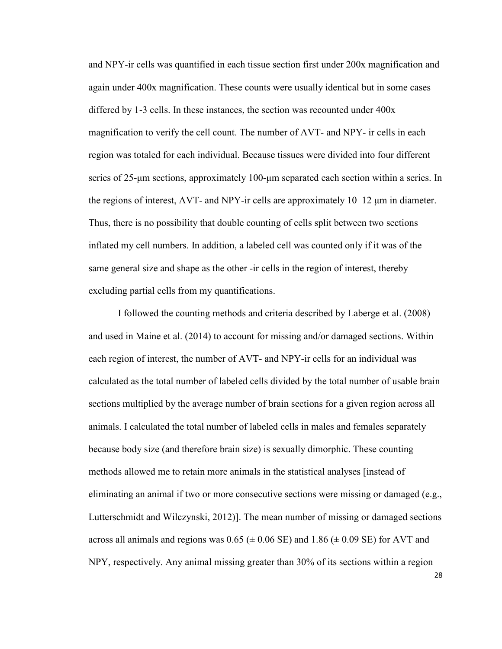and NPY-ir cells was quantified in each tissue section first under 200x magnification and again under 400x magnification. These counts were usually identical but in some cases differed by 1-3 cells. In these instances, the section was recounted under 400x magnification to verify the cell count. The number of AVT- and NPY- ir cells in each region was totaled for each individual. Because tissues were divided into four different series of 25-μm sections, approximately 100-μm separated each section within a series. In the regions of interest, AVT- and NPY-ir cells are approximately 10–12 μm in diameter. Thus, there is no possibility that double counting of cells split between two sections inflated my cell numbers. In addition, a labeled cell was counted only if it was of the same general size and shape as the other -ir cells in the region of interest, thereby excluding partial cells from my quantifications.

I followed the counting methods and criteria described by Laberge et al. (2008) and used in Maine et al. (2014) to account for missing and/or damaged sections. Within each region of interest, the number of AVT- and NPY-ir cells for an individual was calculated as the total number of labeled cells divided by the total number of usable brain sections multiplied by the average number of brain sections for a given region across all animals. I calculated the total number of labeled cells in males and females separately because body size (and therefore brain size) is sexually dimorphic. These counting methods allowed me to retain more animals in the statistical analyses [instead of eliminating an animal if two or more consecutive sections were missing or damaged (e.g., Lutterschmidt and Wilczynski, 2012)]. The mean number of missing or damaged sections across all animals and regions was  $0.65 \ (\pm 0.06 \ \text{SE})$  and  $1.86 \ (\pm 0.09 \ \text{SE})$  for AVT and NPY, respectively. Any animal missing greater than 30% of its sections within a region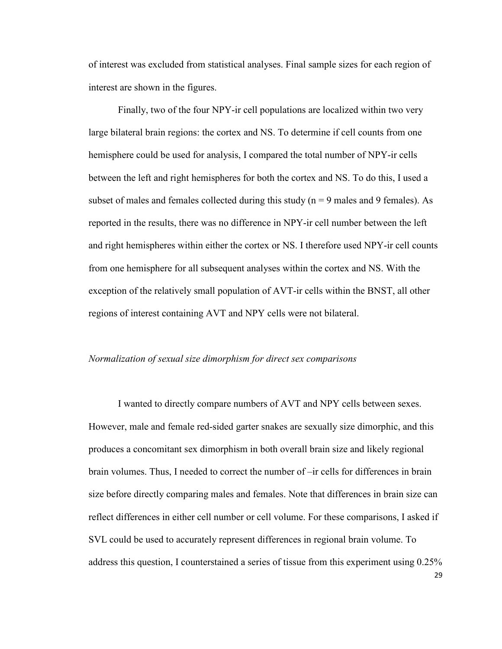of interest was excluded from statistical analyses. Final sample sizes for each region of interest are shown in the figures.

Finally, two of the four NPY-ir cell populations are localized within two very large bilateral brain regions: the cortex and NS. To determine if cell counts from one hemisphere could be used for analysis, I compared the total number of NPY-ir cells between the left and right hemispheres for both the cortex and NS. To do this, I used a subset of males and females collected during this study ( $n = 9$  males and 9 females). As reported in the results, there was no difference in NPY-ir cell number between the left and right hemispheres within either the cortex or NS. I therefore used NPY-ir cell counts from one hemisphere for all subsequent analyses within the cortex and NS. With the exception of the relatively small population of AVT-ir cells within the BNST, all other regions of interest containing AVT and NPY cells were not bilateral.

# *Normalization of sexual size dimorphism for direct sex comparisons*

I wanted to directly compare numbers of AVT and NPY cells between sexes. However, male and female red-sided garter snakes are sexually size dimorphic, and this produces a concomitant sex dimorphism in both overall brain size and likely regional brain volumes. Thus, I needed to correct the number of –ir cells for differences in brain size before directly comparing males and females. Note that differences in brain size can reflect differences in either cell number or cell volume. For these comparisons, I asked if SVL could be used to accurately represent differences in regional brain volume. To address this question, I counterstained a series of tissue from this experiment using 0.25%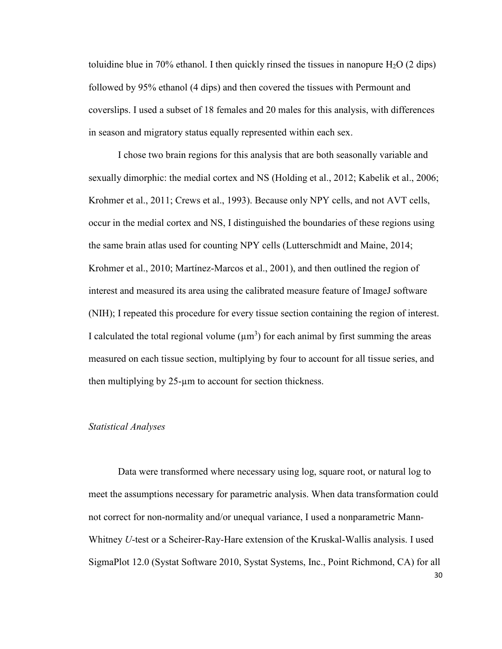toluidine blue in 70% ethanol. I then quickly rinsed the tissues in nanopure  $H_2O$  (2 dips) followed by 95% ethanol (4 dips) and then covered the tissues with Permount and coverslips. I used a subset of 18 females and 20 males for this analysis, with differences in season and migratory status equally represented within each sex.

I chose two brain regions for this analysis that are both seasonally variable and sexually dimorphic: the medial cortex and NS (Holding et al., 2012; Kabelik et al., 2006; Krohmer et al., 2011; Crews et al., 1993). Because only NPY cells, and not AVT cells, occur in the medial cortex and NS, I distinguished the boundaries of these regions using the same brain atlas used for counting NPY cells (Lutterschmidt and Maine, 2014; Krohmer et al., 2010; Martínez-Marcos et al., 2001), and then outlined the region of interest and measured its area using the calibrated measure feature of ImageJ software (NIH); I repeated this procedure for every tissue section containing the region of interest. I calculated the total regional volume  $(\mu m^3)$  for each animal by first summing the areas measured on each tissue section, multiplying by four to account for all tissue series, and then multiplying by 25-µm to account for section thickness.

#### *Statistical Analyses*

30 Data were transformed where necessary using log, square root, or natural log to meet the assumptions necessary for parametric analysis. When data transformation could not correct for non-normality and/or unequal variance, I used a nonparametric Mann*-*Whitney *U*-test or a Scheirer-Ray-Hare extension of the Kruskal-Wallis analysis. I used SigmaPlot 12.0 (Systat Software 2010, Systat Systems, Inc., Point Richmond, CA) for all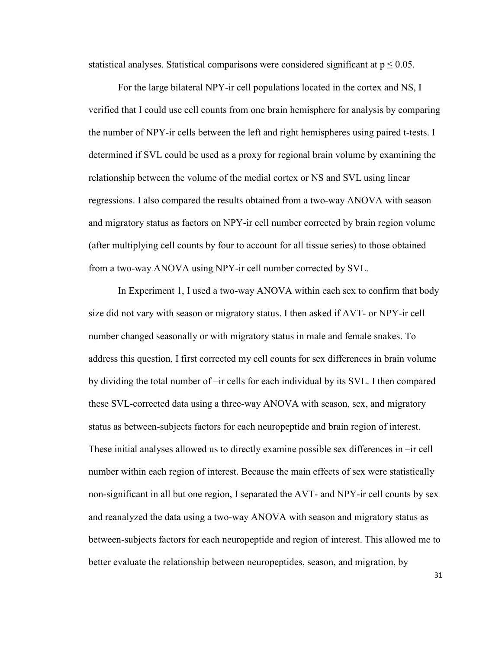statistical analyses. Statistical comparisons were considered significant at  $p \le 0.05$ .

For the large bilateral NPY-ir cell populations located in the cortex and NS, I verified that I could use cell counts from one brain hemisphere for analysis by comparing the number of NPY-ir cells between the left and right hemispheres using paired t-tests. I determined if SVL could be used as a proxy for regional brain volume by examining the relationship between the volume of the medial cortex or NS and SVL using linear regressions. I also compared the results obtained from a two-way ANOVA with season and migratory status as factors on NPY-ir cell number corrected by brain region volume (after multiplying cell counts by four to account for all tissue series) to those obtained from a two-way ANOVA using NPY-ir cell number corrected by SVL.

In Experiment 1, I used a two-way ANOVA within each sex to confirm that body size did not vary with season or migratory status. I then asked if AVT- or NPY-ir cell number changed seasonally or with migratory status in male and female snakes. To address this question, I first corrected my cell counts for sex differences in brain volume by dividing the total number of –ir cells for each individual by its SVL. I then compared these SVL-corrected data using a three-way ANOVA with season, sex, and migratory status as between-subjects factors for each neuropeptide and brain region of interest. These initial analyses allowed us to directly examine possible sex differences in –ir cell number within each region of interest. Because the main effects of sex were statistically non-significant in all but one region, I separated the AVT- and NPY-ir cell counts by sex and reanalyzed the data using a two-way ANOVA with season and migratory status as between-subjects factors for each neuropeptide and region of interest. This allowed me to better evaluate the relationship between neuropeptides, season, and migration, by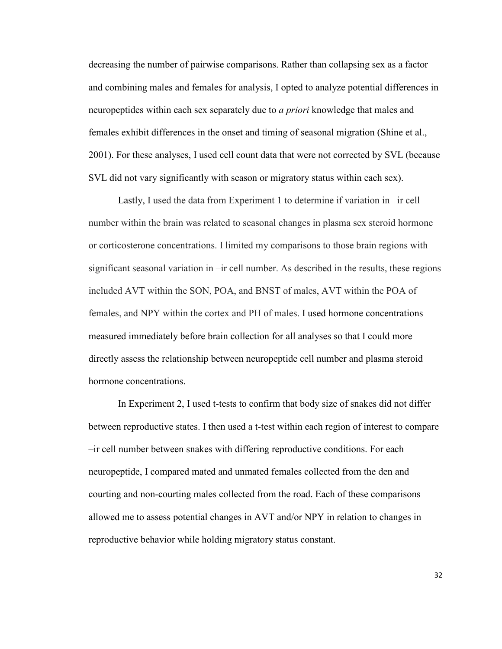decreasing the number of pairwise comparisons. Rather than collapsing sex as a factor and combining males and females for analysis, I opted to analyze potential differences in neuropeptides within each sex separately due to *a priori* knowledge that males and females exhibit differences in the onset and timing of seasonal migration (Shine et al., 2001). For these analyses, I used cell count data that were not corrected by SVL (because SVL did not vary significantly with season or migratory status within each sex).

Lastly, I used the data from Experiment 1 to determine if variation in –ir cell number within the brain was related to seasonal changes in plasma sex steroid hormone or corticosterone concentrations. I limited my comparisons to those brain regions with significant seasonal variation in –ir cell number. As described in the results, these regions included AVT within the SON, POA, and BNST of males, AVT within the POA of females, and NPY within the cortex and PH of males. I used hormone concentrations measured immediately before brain collection for all analyses so that I could more directly assess the relationship between neuropeptide cell number and plasma steroid hormone concentrations.

In Experiment 2, I used t-tests to confirm that body size of snakes did not differ between reproductive states. I then used a t-test within each region of interest to compare –ir cell number between snakes with differing reproductive conditions. For each neuropeptide, I compared mated and unmated females collected from the den and courting and non-courting males collected from the road. Each of these comparisons allowed me to assess potential changes in AVT and/or NPY in relation to changes in reproductive behavior while holding migratory status constant.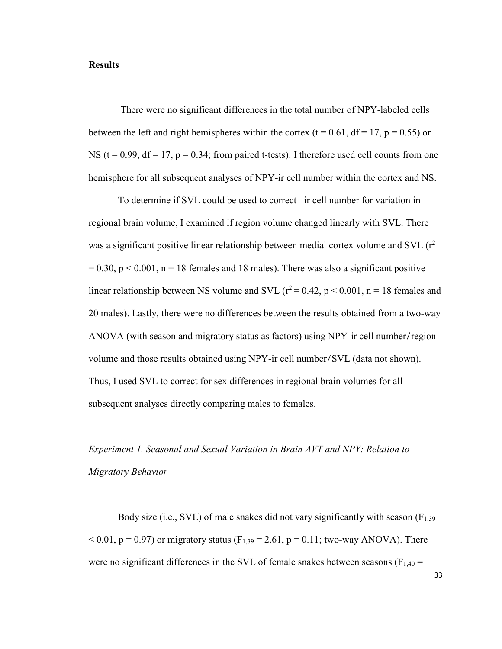## **Results**

 There were no significant differences in the total number of NPY-labeled cells between the left and right hemispheres within the cortex (t = 0.61, df = 17, p = 0.55) or NS ( $t = 0.99$ ,  $df = 17$ ,  $p = 0.34$ ; from paired t-tests). I therefore used cell counts from one hemisphere for all subsequent analyses of NPY-ir cell number within the cortex and NS.

 To determine if SVL could be used to correct –ir cell number for variation in regional brain volume, I examined if region volume changed linearly with SVL. There was a significant positive linear relationship between medial cortex volume and SVL  $(r^2)$  $= 0.30$ ,  $p < 0.001$ ,  $n = 18$  females and 18 males). There was also a significant positive linear relationship between NS volume and SVL ( $r^2$  = 0.42, p < 0.001, n = 18 females and 20 males). Lastly, there were no differences between the results obtained from a two-way ANOVA (with season and migratory status as factors) using NPY-ir cell number/region volume and those results obtained using NPY-ir cell number/SVL (data not shown). Thus, I used SVL to correct for sex differences in regional brain volumes for all subsequent analyses directly comparing males to females.

# *Experiment 1. Seasonal and Sexual Variation in Brain AVT and NPY: Relation to Migratory Behavior*

Body size (i.e., SVL) of male snakes did not vary significantly with season  $(F_{1,39})$  $< 0.01$ , p = 0.97) or migratory status (F<sub>1,39</sub> = 2.61, p = 0.11; two-way ANOVA). There were no significant differences in the SVL of female snakes between seasons ( $F_{1,40}$  =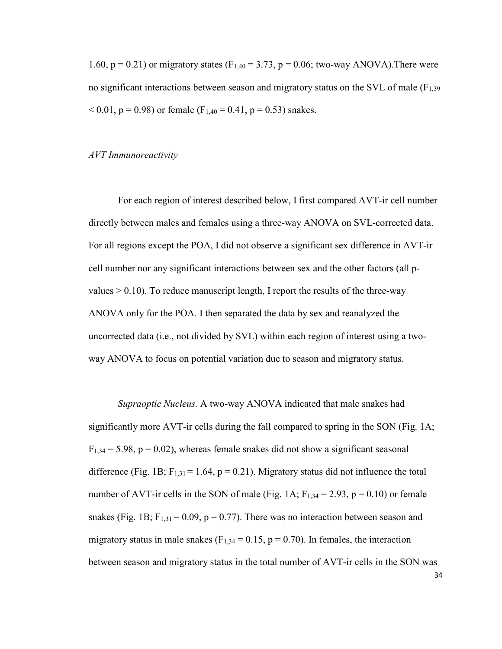1.60,  $p = 0.21$ ) or migratory states (F<sub>1,40</sub> = 3.73,  $p = 0.06$ ; two-way ANOVA). There were no significant interactions between season and migratory status on the SVL of male ( $F_{1,39}$ )  $< 0.01$ , p = 0.98) or female (F<sub>1,40</sub> = 0.41, p = 0.53) snakes.

#### *AVT Immunoreactivity*

For each region of interest described below, I first compared AVT-ir cell number directly between males and females using a three-way ANOVA on SVL-corrected data. For all regions except the POA, I did not observe a significant sex difference in AVT-ir cell number nor any significant interactions between sex and the other factors (all pvalues  $> 0.10$ ). To reduce manuscript length, I report the results of the three-way ANOVA only for the POA. I then separated the data by sex and reanalyzed the uncorrected data (i.e., not divided by SVL) within each region of interest using a twoway ANOVA to focus on potential variation due to season and migratory status.

*Supraoptic Nucleus.* A two-way ANOVA indicated that male snakes had significantly more AVT-ir cells during the fall compared to spring in the SON (Fig. 1A;  $F_{1,34} = 5.98$ ,  $p = 0.02$ ), whereas female snakes did not show a significant seasonal difference (Fig. 1B;  $F_{1,31} = 1.64$ ,  $p = 0.21$ ). Migratory status did not influence the total number of AVT-ir cells in the SON of male (Fig. 1A;  $F_{1,34} = 2.93$ ,  $p = 0.10$ ) or female snakes (Fig. 1B;  $F_{1,31} = 0.09$ ,  $p = 0.77$ ). There was no interaction between season and migratory status in male snakes ( $F_{1,34} = 0.15$ ,  $p = 0.70$ ). In females, the interaction between season and migratory status in the total number of AVT-ir cells in the SON was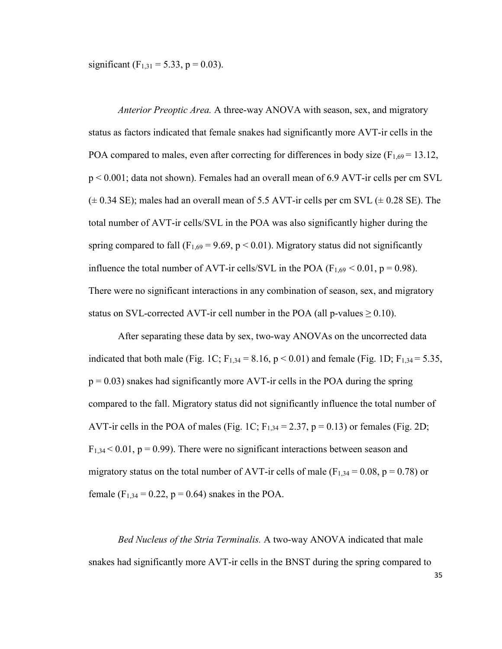significant (F<sub>1,31</sub> = 5.33, p = 0.03).

*Anterior Preoptic Area.* A three-way ANOVA with season, sex, and migratory status as factors indicated that female snakes had significantly more AVT-ir cells in the POA compared to males, even after correcting for differences in body size  $(F_{1,69} = 13.12,$ p < 0.001; data not shown). Females had an overall mean of 6.9 AVT-ir cells per cm SVL  $(\pm 0.34 \text{ SE})$ ; males had an overall mean of 5.5 AVT-ir cells per cm SVL  $(\pm 0.28 \text{ SE})$ . The total number of AVT-ir cells/SVL in the POA was also significantly higher during the spring compared to fall ( $F_{1,69} = 9.69$ ,  $p < 0.01$ ). Migratory status did not significantly influence the total number of AVT-ir cells/SVL in the POA ( $F_{1,69}$  < 0.01, p = 0.98). There were no significant interactions in any combination of season, sex, and migratory status on SVL-corrected AVT-ir cell number in the POA (all p-values  $\geq$  0.10).

After separating these data by sex, two-way ANOVAs on the uncorrected data indicated that both male (Fig. 1C;  $F_{1,34} = 8.16$ ,  $p < 0.01$ ) and female (Fig. 1D;  $F_{1,34} = 5.35$ ,  $p = 0.03$ ) snakes had significantly more AVT-ir cells in the POA during the spring compared to the fall. Migratory status did not significantly influence the total number of AVT-ir cells in the POA of males (Fig. 1C;  $F_{1,34} = 2.37$ ,  $p = 0.13$ ) or females (Fig. 2D;  $F_{1,34}$  < 0.01, p = 0.99). There were no significant interactions between season and migratory status on the total number of AVT-ir cells of male ( $F_{1,34} = 0.08$ ,  $p = 0.78$ ) or female (F<sub>1,34</sub> = 0,22, p = 0.64) snakes in the POA.

*Bed Nucleus of the Stria Terminalis.* A two-way ANOVA indicated that male snakes had significantly more AVT-ir cells in the BNST during the spring compared to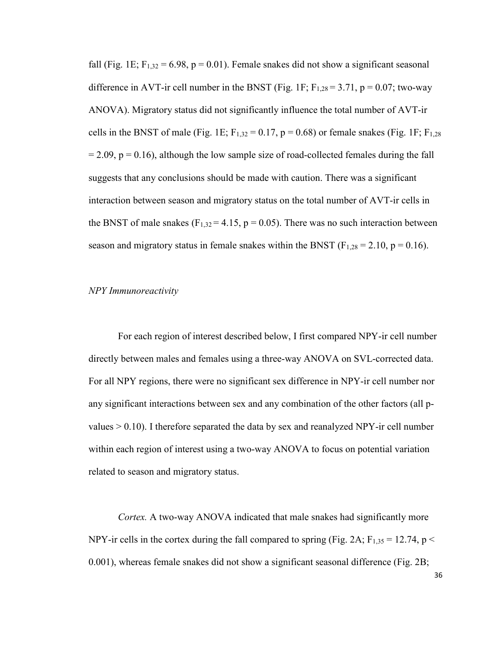fall (Fig. 1E;  $F_{1,32} = 6.98$ ,  $p = 0.01$ ). Female snakes did not show a significant seasonal difference in AVT-ir cell number in the BNST (Fig. 1F;  $F_{1,28} = 3.71$ ,  $p = 0.07$ ; two-way ANOVA). Migratory status did not significantly influence the total number of AVT-ir cells in the BNST of male (Fig. 1E;  $F_{1,32} = 0.17$ ,  $p = 0.68$ ) or female snakes (Fig. 1F;  $F_{1,28}$  $= 2.09$ ,  $p = 0.16$ ), although the low sample size of road-collected females during the fall suggests that any conclusions should be made with caution. There was a significant interaction between season and migratory status on the total number of AVT-ir cells in the BNST of male snakes ( $F_{1,32} = 4.15$ ,  $p = 0.05$ ). There was no such interaction between season and migratory status in female snakes within the BNST ( $F_{1,28} = 2.10$ ,  $p = 0.16$ ).

#### *NPY Immunoreactivity*

For each region of interest described below, I first compared NPY-ir cell number directly between males and females using a three-way ANOVA on SVL-corrected data. For all NPY regions, there were no significant sex difference in NPY-ir cell number nor any significant interactions between sex and any combination of the other factors (all pvalues  $> 0.10$ ). I therefore separated the data by sex and reanalyzed NPY-ir cell number within each region of interest using a two-way ANOVA to focus on potential variation related to season and migratory status.

*Cortex.* A two-way ANOVA indicated that male snakes had significantly more NPY-ir cells in the cortex during the fall compared to spring (Fig. 2A;  $F_{1,35} = 12.74$ , p < 0.001), whereas female snakes did not show a significant seasonal difference (Fig. 2B;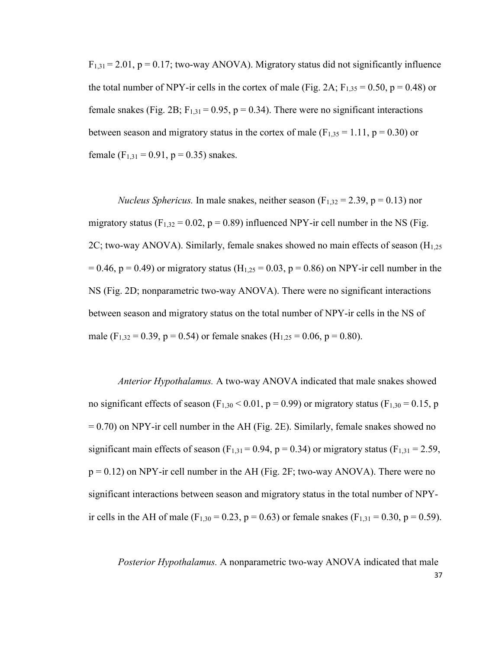$F_{1,31} = 2.01$ ,  $p = 0.17$ ; two-way ANOVA). Migratory status did not significantly influence the total number of NPY-ir cells in the cortex of male (Fig. 2A;  $F_{1,35} = 0.50$ , p = 0.48) or female snakes (Fig. 2B;  $F_{1,31} = 0.95$ , p = 0.34). There were no significant interactions between season and migratory status in the cortex of male  $(F_{1,35} = 1.11, p = 0.30)$  or female ( $F_{1,31} = 0.91$ ,  $p = 0.35$ ) snakes.

*Nucleus Sphericus.* In male snakes, neither season  $(F_{1,32} = 2.39, p = 0.13)$  nor migratory status ( $F_{1,32} = 0.02$ ,  $p = 0.89$ ) influenced NPY-ir cell number in the NS (Fig. 2C; two-way ANOVA). Similarly, female snakes showed no main effects of season  $(H_{1,25})$  $= 0.46$ , p  $= 0.49$ ) or migratory status (H<sub>1,25</sub>  $= 0.03$ , p  $= 0.86$ ) on NPY-ir cell number in the NS (Fig. 2D; nonparametric two-way ANOVA). There were no significant interactions between season and migratory status on the total number of NPY-ir cells in the NS of male (F<sub>1,32</sub> = 0.39, p = 0.54) or female snakes (H<sub>1,25</sub> = 0.06, p = 0.80).

*Anterior Hypothalamus.* A two-way ANOVA indicated that male snakes showed no significant effects of season (F<sub>1,30</sub> < 0.01, p = 0.99) or migratory status (F<sub>1,30</sub> = 0.15, p = 0.70) on NPY-ir cell number in the AH (Fig. 2E). Similarly, female snakes showed no significant main effects of season (F<sub>1,31</sub> = 0.94, p = 0.34) or migratory status (F<sub>1,31</sub> = 2.59,  $p = 0.12$ ) on NPY-ir cell number in the AH (Fig. 2F; two-way ANOVA). There were no significant interactions between season and migratory status in the total number of NPYir cells in the AH of male (F<sub>1,30</sub> = 0.23, p = 0.63) or female snakes (F<sub>1,31</sub> = 0.30, p = 0.59).

37 *Posterior Hypothalamus.* A nonparametric two-way ANOVA indicated that male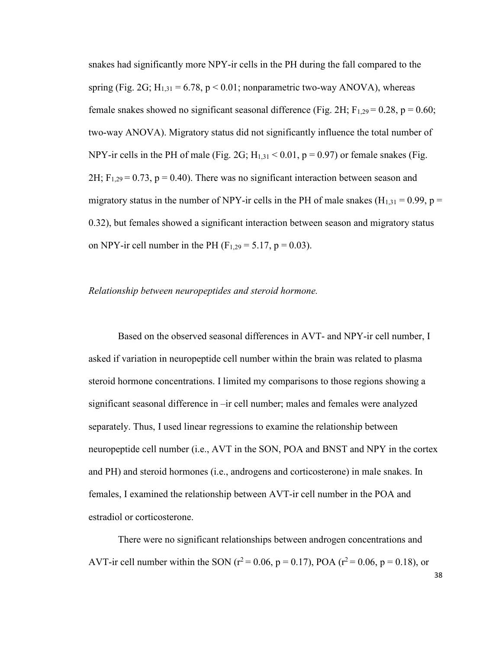snakes had significantly more NPY-ir cells in the PH during the fall compared to the spring (Fig. 2G;  $H_{1,31} = 6.78$ , p < 0.01; nonparametric two-way ANOVA), whereas female snakes showed no significant seasonal difference (Fig. 2H;  $F_{1,29} = 0.28$ , p = 0.60; two-way ANOVA). Migratory status did not significantly influence the total number of NPY-ir cells in the PH of male (Fig. 2G;  $H_{1,31} < 0.01$ , p = 0.97) or female snakes (Fig.  $2H$ ; F<sub>1,29</sub> = 0.73, p = 0.40). There was no significant interaction between season and migratory status in the number of NPY-ir cells in the PH of male snakes  $(H_{1,31} = 0.99, p =$ 0.32), but females showed a significant interaction between season and migratory status on NPY-ir cell number in the PH (F<sub>1,29</sub> = 5,17, p = 0,03).

#### *Relationship between neuropeptides and steroid hormone.*

Based on the observed seasonal differences in AVT- and NPY-ir cell number, I asked if variation in neuropeptide cell number within the brain was related to plasma steroid hormone concentrations. I limited my comparisons to those regions showing a significant seasonal difference in –ir cell number; males and females were analyzed separately. Thus, I used linear regressions to examine the relationship between neuropeptide cell number (i.e., AVT in the SON, POA and BNST and NPY in the cortex and PH) and steroid hormones (i.e., androgens and corticosterone) in male snakes. In females, I examined the relationship between AVT-ir cell number in the POA and estradiol or corticosterone.

There were no significant relationships between androgen concentrations and AVT-ir cell number within the SON ( $r^2$  = 0.06, p = 0.17), POA ( $r^2$  = 0.06, p = 0.18), or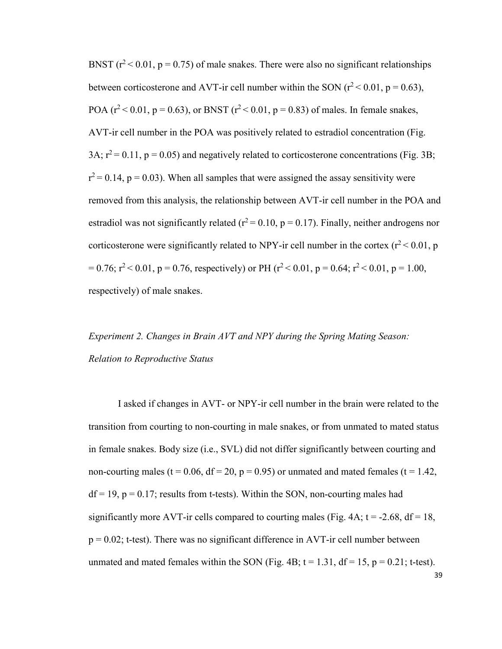BNST  $(r^2 < 0.01, p = 0.75)$  of male snakes. There were also no significant relationships between corticosterone and AVT-ir cell number within the SON  $(r^2 < 0.01, p = 0.63)$ , POA ( $r^2$  < 0.01,  $p = 0.63$ ), or BNST ( $r^2$  < 0.01,  $p = 0.83$ ) of males. In female snakes, AVT-ir cell number in the POA was positively related to estradiol concentration (Fig. 3A;  $r^2$  = 0.11, p = 0.05) and negatively related to corticosterone concentrations (Fig. 3B;  $r^2$  = 0.14, p = 0.03). When all samples that were assigned the assay sensitivity were removed from this analysis, the relationship between AVT-ir cell number in the POA and estradiol was not significantly related ( $r^2$  = 0.10, p = 0.17). Finally, neither androgens nor corticosterone were significantly related to NPY-ir cell number in the cortex  $(r^2 < 0.01, p)$  $= 0.76$ ;  $r^2 < 0.01$ ,  $p = 0.76$ , respectively) or PH ( $r^2 < 0.01$ ,  $p = 0.64$ ;  $r^2 < 0.01$ ,  $p = 1.00$ , respectively) of male snakes.

# *Experiment 2. Changes in Brain AVT and NPY during the Spring Mating Season: Relation to Reproductive Status*

I asked if changes in AVT- or NPY-ir cell number in the brain were related to the transition from courting to non-courting in male snakes, or from unmated to mated status in female snakes. Body size (i.e., SVL) did not differ significantly between courting and non-courting males (t =  $0.06$ , df =  $20$ , p =  $0.95$ ) or unmated and mated females (t =  $1.42$ ,  $df = 19$ ,  $p = 0.17$ ; results from t-tests). Within the SON, non-courting males had significantly more AVT-ir cells compared to courting males (Fig. 4A;  $t = -2.68$ ,  $df = 18$ ,  $p = 0.02$ ; t-test). There was no significant difference in AVT-ir cell number between unmated and mated females within the SON (Fig. 4B;  $t = 1.31$ ,  $df = 15$ ,  $p = 0.21$ ; t-test).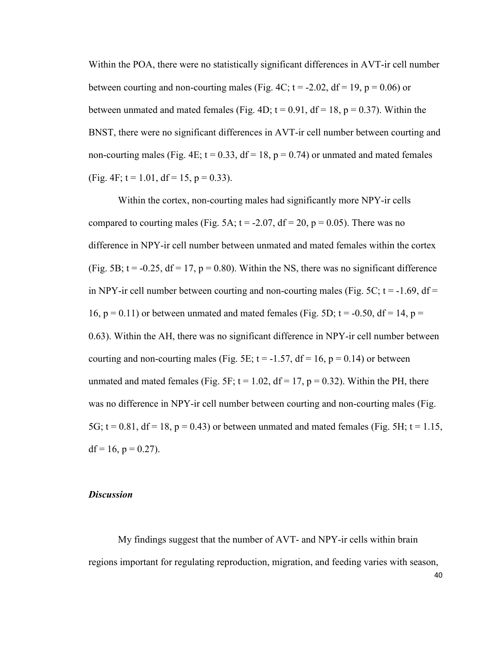Within the POA, there were no statistically significant differences in AVT-ir cell number between courting and non-courting males (Fig. 4C;  $t = -2.02$ ,  $df = 19$ ,  $p = 0.06$ ) or between unmated and mated females (Fig. 4D;  $t = 0.91$ ,  $df = 18$ ,  $p = 0.37$ ). Within the BNST, there were no significant differences in AVT-ir cell number between courting and non-courting males (Fig. 4E;  $t = 0.33$ ,  $df = 18$ ,  $p = 0.74$ ) or unmated and mated females (Fig. 4F;  $t = 1.01$ ,  $df = 15$ ,  $p = 0.33$ ).

Within the cortex, non-courting males had significantly more NPY-ir cells compared to courting males (Fig. 5A;  $t = -2.07$ ,  $df = 20$ ,  $p = 0.05$ ). There was no difference in NPY-ir cell number between unmated and mated females within the cortex (Fig. 5B;  $t = -0.25$ ,  $df = 17$ ,  $p = 0.80$ ). Within the NS, there was no significant difference in NPY-ir cell number between courting and non-courting males (Fig. 5C;  $t = -1.69$ , df = 16,  $p = 0.11$ ) or between unmated and mated females (Fig. 5D;  $t = -0.50$ ,  $df = 14$ ,  $p =$ 0.63). Within the AH, there was no significant difference in NPY-ir cell number between courting and non-courting males (Fig. 5E;  $t = -1.57$ ,  $df = 16$ ,  $p = 0.14$ ) or between unmated and mated females (Fig. 5F;  $t = 1.02$ ,  $df = 17$ ,  $p = 0.32$ ). Within the PH, there was no difference in NPY-ir cell number between courting and non-courting males (Fig. 5G;  $t = 0.81$ ,  $df = 18$ ,  $p = 0.43$ ) or between unmated and mated females (Fig. 5H;  $t = 1.15$ ,  $df = 16$ ,  $p = 0.27$ ).

## *Discussion*

My findings suggest that the number of AVT- and NPY-ir cells within brain regions important for regulating reproduction, migration, and feeding varies with season,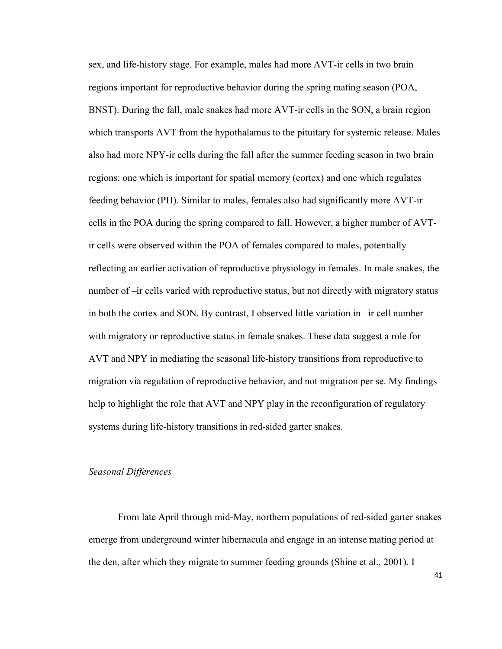sex, and life-history stage. For example, males had more AVT-ir cells in two brain regions important for reproductive behavior during the spring mating season (POA, BNST). During the fall, male snakes had more AVT-ir cells in the SON, a brain region which transports AVT from the hypothalamus to the pituitary for systemic release. Males also had more NPY-ir cells during the fall after the summer feeding season in two brain regions: one which is important for spatial memory (cortex) and one which regulates feeding behavior (PH). Similar to males, females also had significantly more AVT-ir cells in the POA during the spring compared to fall. However, a higher number of AVTir cells were observed within the POA of females compared to males, potentially reflecting an earlier activation of reproductive physiology in females. In male snakes, the number of –ir cells varied with reproductive status, but not directly with migratory status in both the cortex and SON. By contrast, I observed little variation in –ir cell number with migratory or reproductive status in female snakes. These data suggest a role for AVT and NPY in mediating the seasonal life-history transitions from reproductive to migration via regulation of reproductive behavior, and not migration per se. My findings help to highlight the role that AVT and NPY play in the reconfiguration of regulatory systems during life-history transitions in red-sided garter snakes.

### *Seasonal Differences*

From late April through mid-May, northern populations of red-sided garter snakes emerge from underground winter hibernacula and engage in an intense mating period at the den, after which they migrate to summer feeding grounds (Shine et al., 2001). I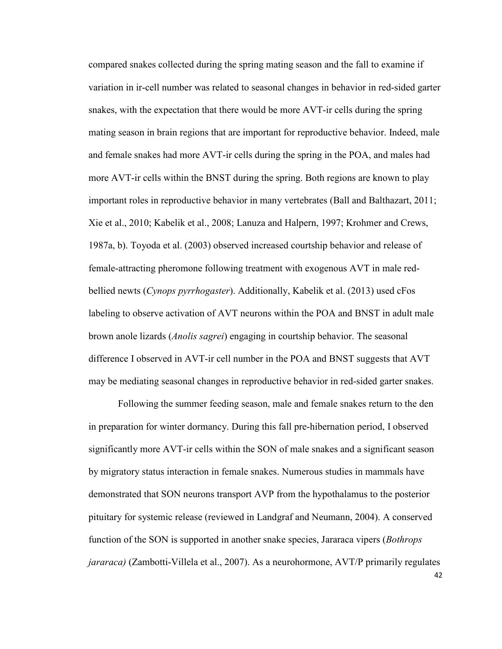compared snakes collected during the spring mating season and the fall to examine if variation in ir-cell number was related to seasonal changes in behavior in red-sided garter snakes, with the expectation that there would be more AVT-ir cells during the spring mating season in brain regions that are important for reproductive behavior. Indeed, male and female snakes had more AVT-ir cells during the spring in the POA, and males had more AVT-ir cells within the BNST during the spring. Both regions are known to play important roles in reproductive behavior in many vertebrates (Ball and Balthazart, 2011; Xie et al., 2010; Kabelik et al., 2008; Lanuza and Halpern, 1997; Krohmer and Crews, 1987a, b). Toyoda et al. (2003) observed increased courtship behavior and release of female-attracting pheromone following treatment with exogenous AVT in male redbellied newts (*Cynops pyrrhogaster*). Additionally, Kabelik et al. (2013) used cFos labeling to observe activation of AVT neurons within the POA and BNST in adult male brown anole lizards (*Anolis sagrei*) engaging in courtship behavior. The seasonal difference I observed in AVT-ir cell number in the POA and BNST suggests that AVT may be mediating seasonal changes in reproductive behavior in red-sided garter snakes.

Following the summer feeding season, male and female snakes return to the den in preparation for winter dormancy. During this fall pre-hibernation period, I observed significantly more AVT-ir cells within the SON of male snakes and a significant season by migratory status interaction in female snakes. Numerous studies in mammals have demonstrated that SON neurons transport AVP from the hypothalamus to the posterior pituitary for systemic release (reviewed in Landgraf and Neumann, 2004). A conserved function of the SON is supported in another snake species, Jararaca vipers (*Bothrops jararaca)* (Zambotti-Villela et al., 2007). As a neurohormone, AVT/P primarily regulates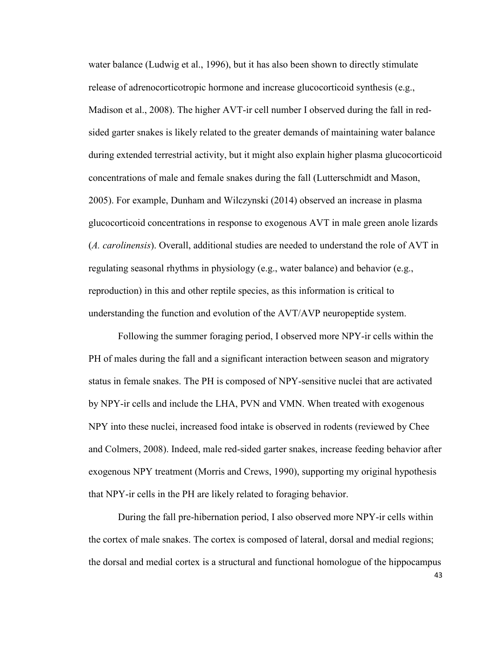water balance (Ludwig et al., 1996), but it has also been shown to directly stimulate release of adrenocorticotropic hormone and increase glucocorticoid synthesis (e.g., Madison et al., 2008). The higher AVT-ir cell number I observed during the fall in redsided garter snakes is likely related to the greater demands of maintaining water balance during extended terrestrial activity, but it might also explain higher plasma glucocorticoid concentrations of male and female snakes during the fall (Lutterschmidt and Mason, 2005). For example, Dunham and Wilczynski (2014) observed an increase in plasma glucocorticoid concentrations in response to exogenous AVT in male green anole lizards (*A. carolinensis*). Overall, additional studies are needed to understand the role of AVT in regulating seasonal rhythms in physiology (e.g., water balance) and behavior (e.g., reproduction) in this and other reptile species, as this information is critical to understanding the function and evolution of the AVT/AVP neuropeptide system.

Following the summer foraging period, I observed more NPY-ir cells within the PH of males during the fall and a significant interaction between season and migratory status in female snakes. The PH is composed of NPY-sensitive nuclei that are activated by NPY-ir cells and include the LHA, PVN and VMN. When treated with exogenous NPY into these nuclei, increased food intake is observed in rodents (reviewed by Chee and Colmers, 2008). Indeed, male red-sided garter snakes, increase feeding behavior after exogenous NPY treatment (Morris and Crews, 1990), supporting my original hypothesis that NPY-ir cells in the PH are likely related to foraging behavior.

During the fall pre-hibernation period, I also observed more NPY-ir cells within the cortex of male snakes. The cortex is composed of lateral, dorsal and medial regions; the dorsal and medial cortex is a structural and functional homologue of the hippocampus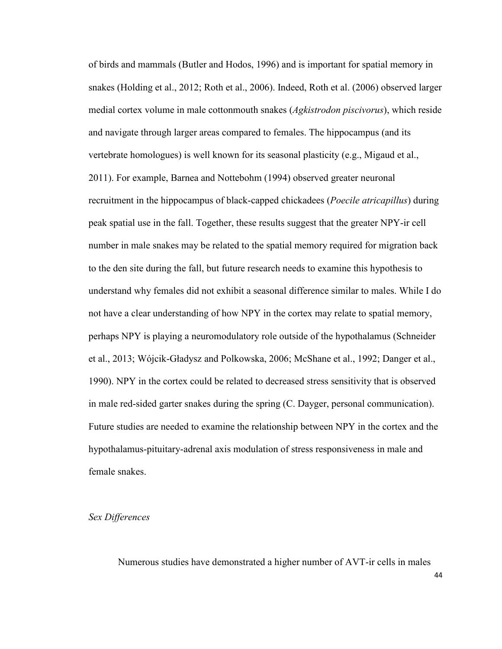of birds and mammals (Butler and Hodos, 1996) and is important for spatial memory in snakes (Holding et al., 2012; Roth et al., 2006). Indeed, Roth et al. (2006) observed larger medial cortex volume in male cottonmouth snakes (*Agkistrodon piscivorus*), which reside and navigate through larger areas compared to females. The hippocampus (and its vertebrate homologues) is well known for its seasonal plasticity (e.g., Migaud et al., 2011). For example, Barnea and Nottebohm (1994) observed greater neuronal recruitment in the hippocampus of black-capped chickadees (*Poecile atricapillus*) during peak spatial use in the fall. Together, these results suggest that the greater NPY-ir cell number in male snakes may be related to the spatial memory required for migration back to the den site during the fall, but future research needs to examine this hypothesis to understand why females did not exhibit a seasonal difference similar to males. While I do not have a clear understanding of how NPY in the cortex may relate to spatial memory, perhaps NPY is playing a neuromodulatory role outside of the hypothalamus (Schneider et al., 2013; Wójcik-Gładysz and Polkowska, 2006; McShane et al., 1992; Danger et al., 1990). NPY in the cortex could be related to decreased stress sensitivity that is observed in male red-sided garter snakes during the spring (C. Dayger, personal communication). Future studies are needed to examine the relationship between NPY in the cortex and the hypothalamus-pituitary-adrenal axis modulation of stress responsiveness in male and female snakes.

## *Sex Differences*

Numerous studies have demonstrated a higher number of AVT-ir cells in males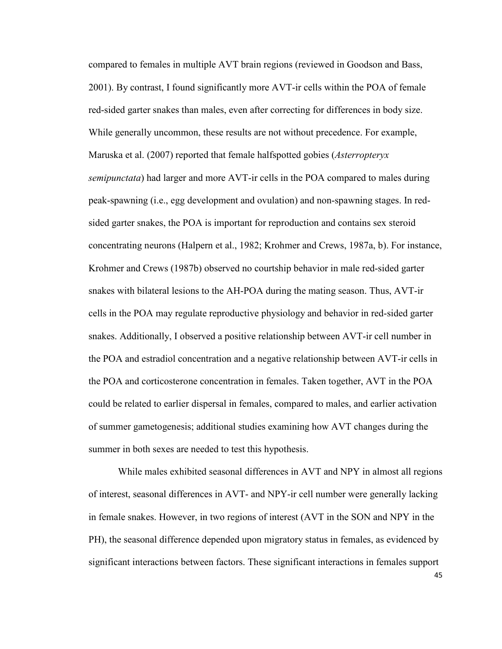compared to females in multiple AVT brain regions (reviewed in Goodson and Bass, 2001). By contrast, I found significantly more AVT-ir cells within the POA of female red-sided garter snakes than males, even after correcting for differences in body size. While generally uncommon, these results are not without precedence. For example, Maruska et al. (2007) reported that female halfspotted gobies (*Asterropteryx semipunctata*) had larger and more AVT-ir cells in the POA compared to males during peak-spawning (i.e., egg development and ovulation) and non-spawning stages. In redsided garter snakes, the POA is important for reproduction and contains sex steroid concentrating neurons (Halpern et al., 1982; Krohmer and Crews, 1987a, b). For instance, Krohmer and Crews (1987b) observed no courtship behavior in male red-sided garter snakes with bilateral lesions to the AH-POA during the mating season. Thus, AVT-ir cells in the POA may regulate reproductive physiology and behavior in red-sided garter snakes. Additionally, I observed a positive relationship between AVT-ir cell number in the POA and estradiol concentration and a negative relationship between AVT-ir cells in the POA and corticosterone concentration in females. Taken together, AVT in the POA could be related to earlier dispersal in females, compared to males, and earlier activation of summer gametogenesis; additional studies examining how AVT changes during the summer in both sexes are needed to test this hypothesis.

While males exhibited seasonal differences in AVT and NPY in almost all regions of interest, seasonal differences in AVT- and NPY-ir cell number were generally lacking in female snakes. However, in two regions of interest (AVT in the SON and NPY in the PH), the seasonal difference depended upon migratory status in females, as evidenced by significant interactions between factors. These significant interactions in females support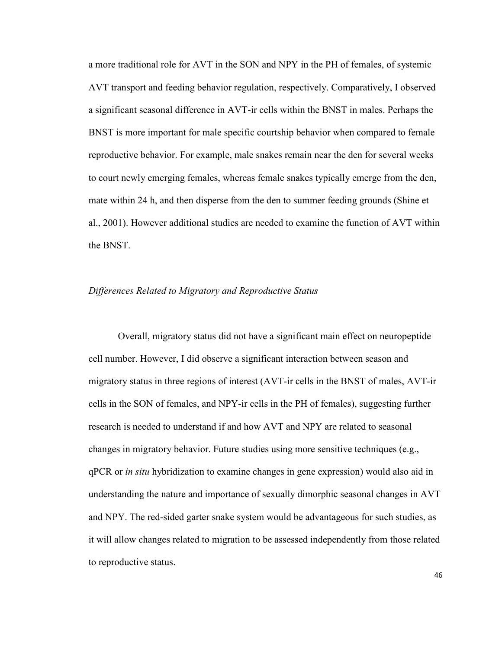a more traditional role for AVT in the SON and NPY in the PH of females, of systemic AVT transport and feeding behavior regulation, respectively. Comparatively, I observed a significant seasonal difference in AVT-ir cells within the BNST in males. Perhaps the BNST is more important for male specific courtship behavior when compared to female reproductive behavior. For example, male snakes remain near the den for several weeks to court newly emerging females, whereas female snakes typically emerge from the den, mate within 24 h, and then disperse from the den to summer feeding grounds (Shine et al., 2001). However additional studies are needed to examine the function of AVT within the BNST.

## *Differences Related to Migratory and Reproductive Status*

Overall, migratory status did not have a significant main effect on neuropeptide cell number. However, I did observe a significant interaction between season and migratory status in three regions of interest (AVT-ir cells in the BNST of males, AVT-ir cells in the SON of females, and NPY-ir cells in the PH of females), suggesting further research is needed to understand if and how AVT and NPY are related to seasonal changes in migratory behavior. Future studies using more sensitive techniques (e.g., qPCR or *in situ* hybridization to examine changes in gene expression) would also aid in understanding the nature and importance of sexually dimorphic seasonal changes in AVT and NPY. The red-sided garter snake system would be advantageous for such studies, as it will allow changes related to migration to be assessed independently from those related to reproductive status.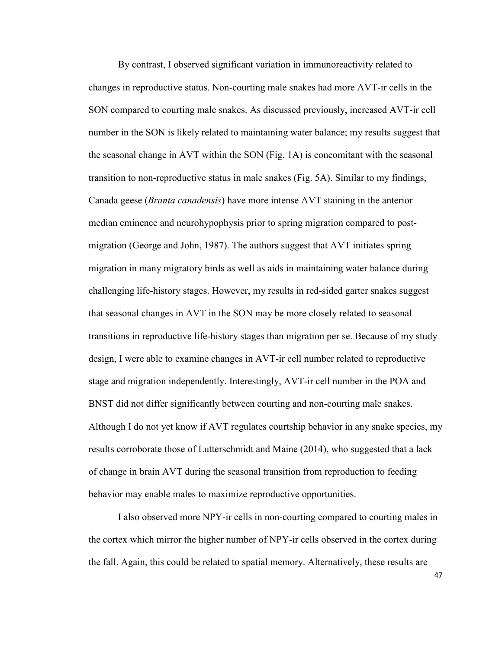By contrast, I observed significant variation in immunoreactivity related to changes in reproductive status. Non-courting male snakes had more AVT-ir cells in the SON compared to courting male snakes. As discussed previously, increased AVT-ir cell number in the SON is likely related to maintaining water balance; my results suggest that the seasonal change in AVT within the SON (Fig. 1A) is concomitant with the seasonal transition to non-reproductive status in male snakes (Fig. 5A). Similar to my findings, Canada geese (*Branta canadensis*) have more intense AVT staining in the anterior median eminence and neurohypophysis prior to spring migration compared to postmigration (George and John, 1987). The authors suggest that AVT initiates spring migration in many migratory birds as well as aids in maintaining water balance during challenging life-history stages. However, my results in red-sided garter snakes suggest that seasonal changes in AVT in the SON may be more closely related to seasonal transitions in reproductive life-history stages than migration per se. Because of my study design, I were able to examine changes in AVT-ir cell number related to reproductive stage and migration independently. Interestingly, AVT-ir cell number in the POA and BNST did not differ significantly between courting and non-courting male snakes. Although I do not yet know if AVT regulates courtship behavior in any snake species, my results corroborate those of Lutterschmidt and Maine (2014), who suggested that a lack of change in brain AVT during the seasonal transition from reproduction to feeding behavior may enable males to maximize reproductive opportunities.

I also observed more NPY-ir cells in non-courting compared to courting males in the cortex which mirror the higher number of NPY-ir cells observed in the cortex during the fall. Again, this could be related to spatial memory. Alternatively, these results are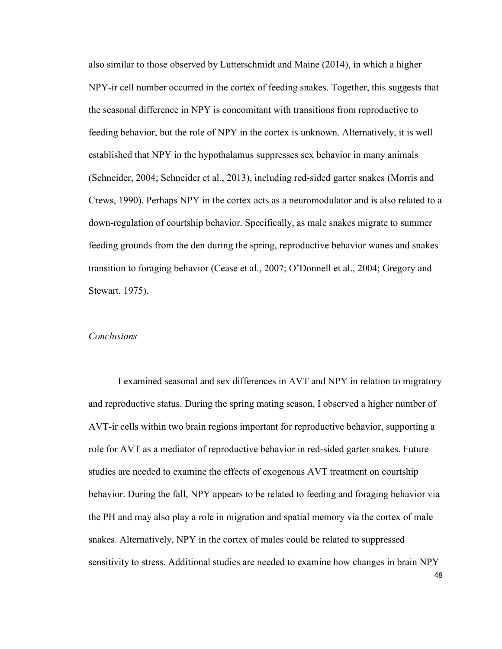also similar to those observed by Lutterschmidt and Maine (2014), in which a higher NPY-ir cell number occurred in the cortex of feeding snakes. Together, this suggests that the seasonal difference in NPY is concomitant with transitions from reproductive to feeding behavior, but the role of NPY in the cortex is unknown. Alternatively, it is well established that NPY in the hypothalamus suppresses sex behavior in many animals (Schneider, 2004; Schneider et al., 2013), including red-sided garter snakes (Morris and Crews, 1990). Perhaps NPY in the cortex acts as a neuromodulator and is also related to a down-regulation of courtship behavior. Specifically, as male snakes migrate to summer feeding grounds from the den during the spring, reproductive behavior wanes and snakes transition to foraging behavior (Cease et al., 2007; O'Donnell et al., 2004; Gregory and Stewart, 1975).

## *Conclusions*

I examined seasonal and sex differences in AVT and NPY in relation to migratory and reproductive status. During the spring mating season, I observed a higher number of AVT-ir cells within two brain regions important for reproductive behavior, supporting a role for AVT as a mediator of reproductive behavior in red-sided garter snakes. Future studies are needed to examine the effects of exogenous AVT treatment on courtship behavior. During the fall, NPY appears to be related to feeding and foraging behavior via the PH and may also play a role in migration and spatial memory via the cortex of male snakes. Alternatively, NPY in the cortex of males could be related to suppressed sensitivity to stress. Additional studies are needed to examine how changes in brain NPY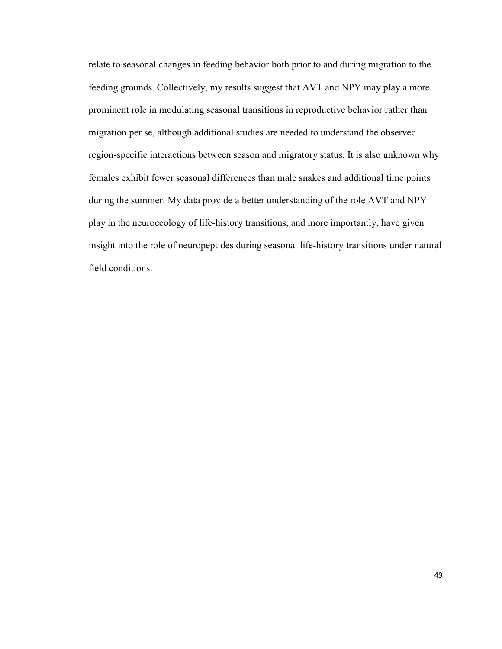relate to seasonal changes in feeding behavior both prior to and during migration to the feeding grounds. Collectively, my results suggest that AVT and NPY may play a more prominent role in modulating seasonal transitions in reproductive behavior rather than migration per se, although additional studies are needed to understand the observed region-specific interactions between season and migratory status. It is also unknown why females exhibit fewer seasonal differences than male snakes and additional time points during the summer. My data provide a better understanding of the role AVT and NPY play in the neuroecology of life-history transitions, and more importantly, have given insight into the role of neuropeptides during seasonal life-history transitions under natural field conditions.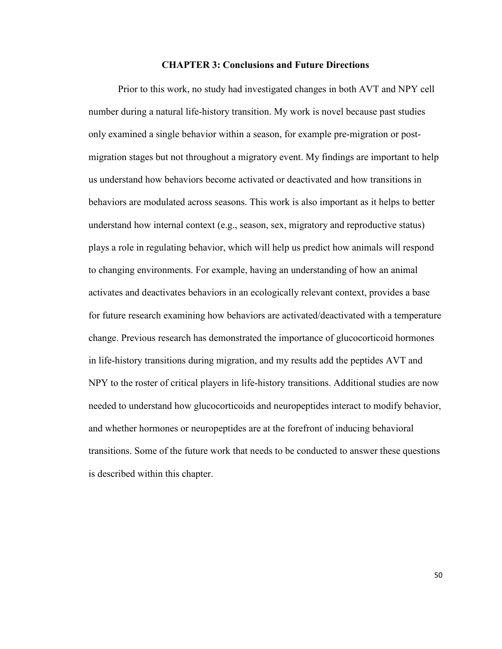#### **CHAPTER 3: Conclusions and Future Directions**

Prior to this work, no study had investigated changes in both AVT and NPY cell number during a natural life-history transition. My work is novel because past studies only examined a single behavior within a season, for example pre-migration or postmigration stages but not throughout a migratory event. My findings are important to help us understand how behaviors become activated or deactivated and how transitions in behaviors are modulated across seasons. This work is also important as it helps to better understand how internal context (e.g., season, sex, migratory and reproductive status) plays a role in regulating behavior, which will help us predict how animals will respond to changing environments. For example, having an understanding of how an animal activates and deactivates behaviors in an ecologically relevant context, provides a base for future research examining how behaviors are activated/deactivated with a temperature change. Previous research has demonstrated the importance of glucocorticoid hormones in life-history transitions during migration, and my results add the peptides AVT and NPY to the roster of critical players in life-history transitions. Additional studies are now needed to understand how glucocorticoids and neuropeptides interact to modify behavior, and whether hormones or neuropeptides are at the forefront of inducing behavioral transitions. Some of the future work that needs to be conducted to answer these questions is described within this chapter.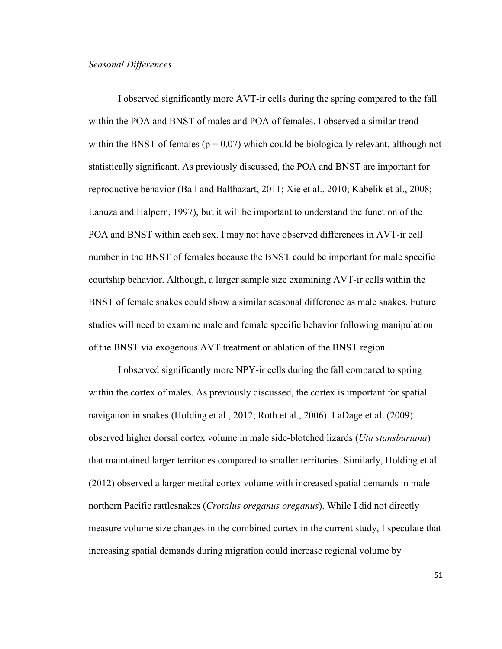# *Seasonal Differences*

I observed significantly more AVT-ir cells during the spring compared to the fall within the POA and BNST of males and POA of females. I observed a similar trend within the BNST of females ( $p = 0.07$ ) which could be biologically relevant, although not statistically significant. As previously discussed, the POA and BNST are important for reproductive behavior (Ball and Balthazart, 2011; Xie et al., 2010; Kabelik et al., 2008; Lanuza and Halpern, 1997), but it will be important to understand the function of the POA and BNST within each sex. I may not have observed differences in AVT-ir cell number in the BNST of females because the BNST could be important for male specific courtship behavior. Although, a larger sample size examining AVT-ir cells within the BNST of female snakes could show a similar seasonal difference as male snakes. Future studies will need to examine male and female specific behavior following manipulation of the BNST via exogenous AVT treatment or ablation of the BNST region.

I observed significantly more NPY-ir cells during the fall compared to spring within the cortex of males. As previously discussed, the cortex is important for spatial navigation in snakes (Holding et al., 2012; Roth et al., 2006). LaDage et al. (2009) observed higher dorsal cortex volume in male side-blotched lizards (*Uta stansburiana*) that maintained larger territories compared to smaller territories. Similarly, Holding et al. (2012) observed a larger medial cortex volume with increased spatial demands in male northern Pacific rattlesnakes (*Crotalus oreganus oreganus*). While I did not directly measure volume size changes in the combined cortex in the current study, I speculate that increasing spatial demands during migration could increase regional volume by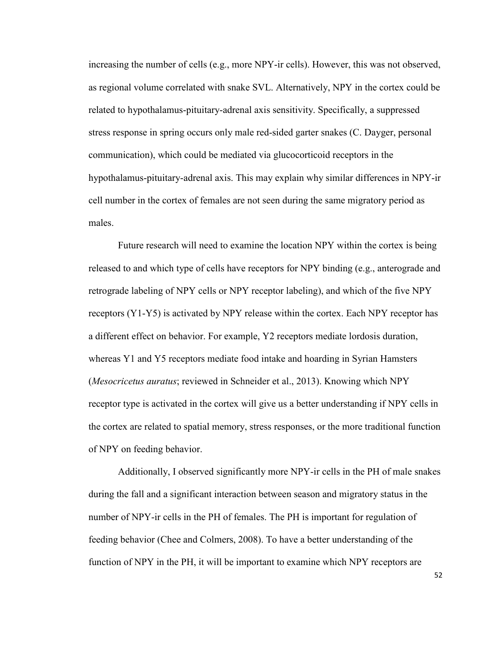increasing the number of cells (e.g., more NPY-ir cells). However, this was not observed, as regional volume correlated with snake SVL. Alternatively, NPY in the cortex could be related to hypothalamus-pituitary-adrenal axis sensitivity. Specifically, a suppressed stress response in spring occurs only male red-sided garter snakes (C. Dayger, personal communication), which could be mediated via glucocorticoid receptors in the hypothalamus-pituitary-adrenal axis. This may explain why similar differences in NPY-ir cell number in the cortex of females are not seen during the same migratory period as males.

Future research will need to examine the location NPY within the cortex is being released to and which type of cells have receptors for NPY binding (e.g., anterograde and retrograde labeling of NPY cells or NPY receptor labeling), and which of the five NPY receptors (Y1-Y5) is activated by NPY release within the cortex. Each NPY receptor has a different effect on behavior. For example, Y2 receptors mediate lordosis duration, whereas Y1 and Y5 receptors mediate food intake and hoarding in Syrian Hamsters (*Mesocricetus auratus*; reviewed in Schneider et al., 2013). Knowing which NPY receptor type is activated in the cortex will give us a better understanding if NPY cells in the cortex are related to spatial memory, stress responses, or the more traditional function of NPY on feeding behavior.

Additionally, I observed significantly more NPY-ir cells in the PH of male snakes during the fall and a significant interaction between season and migratory status in the number of NPY-ir cells in the PH of females. The PH is important for regulation of feeding behavior (Chee and Colmers, 2008). To have a better understanding of the function of NPY in the PH, it will be important to examine which NPY receptors are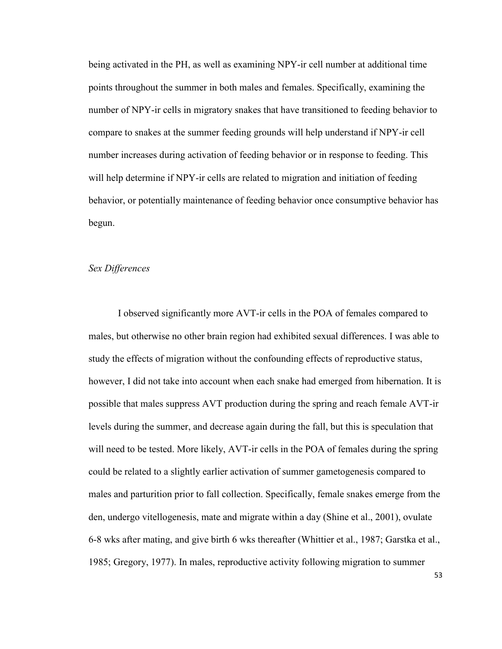being activated in the PH, as well as examining NPY-ir cell number at additional time points throughout the summer in both males and females. Specifically, examining the number of NPY-ir cells in migratory snakes that have transitioned to feeding behavior to compare to snakes at the summer feeding grounds will help understand if NPY-ir cell number increases during activation of feeding behavior or in response to feeding. This will help determine if NPY-ir cells are related to migration and initiation of feeding behavior, or potentially maintenance of feeding behavior once consumptive behavior has begun.

# *Sex Differences*

I observed significantly more AVT-ir cells in the POA of females compared to males, but otherwise no other brain region had exhibited sexual differences. I was able to study the effects of migration without the confounding effects of reproductive status, however, I did not take into account when each snake had emerged from hibernation. It is possible that males suppress AVT production during the spring and reach female AVT-ir levels during the summer, and decrease again during the fall, but this is speculation that will need to be tested. More likely, AVT-ir cells in the POA of females during the spring could be related to a slightly earlier activation of summer gametogenesis compared to males and parturition prior to fall collection. Specifically, female snakes emerge from the den, undergo vitellogenesis, mate and migrate within a day (Shine et al., 2001), ovulate 6-8 wks after mating, and give birth 6 wks thereafter (Whittier et al., 1987; Garstka et al., 1985; Gregory, 1977). In males, reproductive activity following migration to summer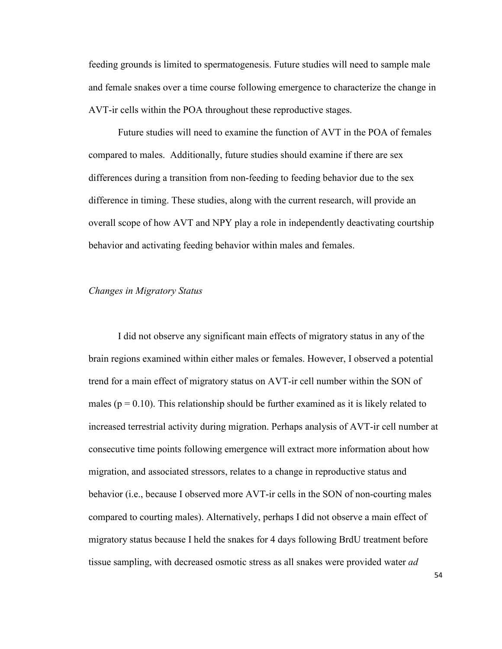feeding grounds is limited to spermatogenesis. Future studies will need to sample male and female snakes over a time course following emergence to characterize the change in AVT-ir cells within the POA throughout these reproductive stages.

Future studies will need to examine the function of AVT in the POA of females compared to males. Additionally, future studies should examine if there are sex differences during a transition from non-feeding to feeding behavior due to the sex difference in timing. These studies, along with the current research, will provide an overall scope of how AVT and NPY play a role in independently deactivating courtship behavior and activating feeding behavior within males and females.

# *Changes in Migratory Status*

I did not observe any significant main effects of migratory status in any of the brain regions examined within either males or females. However, I observed a potential trend for a main effect of migratory status on AVT-ir cell number within the SON of males ( $p = 0.10$ ). This relationship should be further examined as it is likely related to increased terrestrial activity during migration. Perhaps analysis of AVT-ir cell number at consecutive time points following emergence will extract more information about how migration, and associated stressors, relates to a change in reproductive status and behavior (i.e., because I observed more AVT-ir cells in the SON of non-courting males compared to courting males). Alternatively, perhaps I did not observe a main effect of migratory status because I held the snakes for 4 days following BrdU treatment before tissue sampling, with decreased osmotic stress as all snakes were provided water *ad*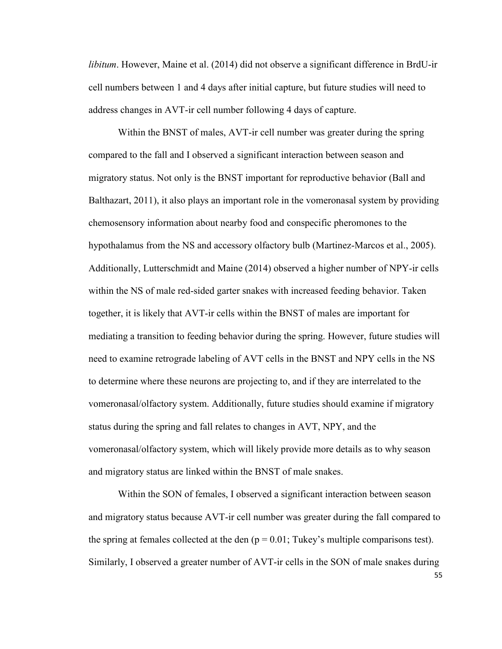*libitum*. However, Maine et al. (2014) did not observe a significant difference in BrdU-ir cell numbers between 1 and 4 days after initial capture, but future studies will need to address changes in AVT-ir cell number following 4 days of capture.

Within the BNST of males, AVT-ir cell number was greater during the spring compared to the fall and I observed a significant interaction between season and migratory status. Not only is the BNST important for reproductive behavior (Ball and Balthazart, 2011), it also plays an important role in the vomeronasal system by providing chemosensory information about nearby food and conspecific pheromones to the hypothalamus from the NS and accessory olfactory bulb (Martinez-Marcos et al., 2005). Additionally, Lutterschmidt and Maine (2014) observed a higher number of NPY-ir cells within the NS of male red-sided garter snakes with increased feeding behavior. Taken together, it is likely that AVT-ir cells within the BNST of males are important for mediating a transition to feeding behavior during the spring. However, future studies will need to examine retrograde labeling of AVT cells in the BNST and NPY cells in the NS to determine where these neurons are projecting to, and if they are interrelated to the vomeronasal/olfactory system. Additionally, future studies should examine if migratory status during the spring and fall relates to changes in AVT, NPY, and the vomeronasal/olfactory system, which will likely provide more details as to why season and migratory status are linked within the BNST of male snakes.

Within the SON of females, I observed a significant interaction between season and migratory status because AVT-ir cell number was greater during the fall compared to the spring at females collected at the den  $(p = 0.01;$  Tukey's multiple comparisons test). Similarly, I observed a greater number of AVT-ir cells in the SON of male snakes during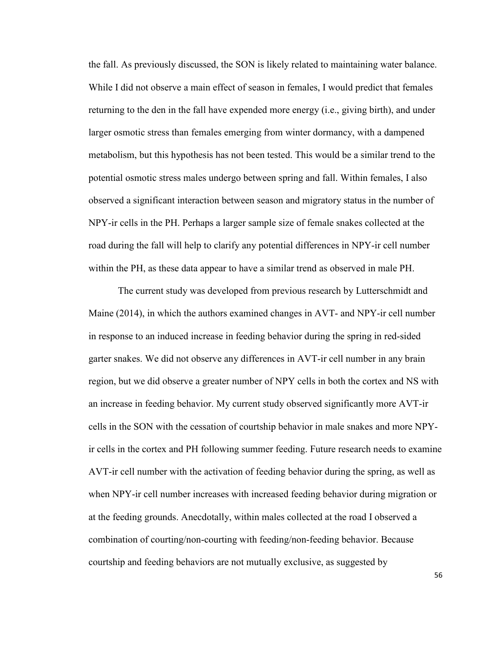the fall. As previously discussed, the SON is likely related to maintaining water balance. While I did not observe a main effect of season in females, I would predict that females returning to the den in the fall have expended more energy (i.e., giving birth), and under larger osmotic stress than females emerging from winter dormancy, with a dampened metabolism, but this hypothesis has not been tested. This would be a similar trend to the potential osmotic stress males undergo between spring and fall. Within females, I also observed a significant interaction between season and migratory status in the number of NPY-ir cells in the PH. Perhaps a larger sample size of female snakes collected at the road during the fall will help to clarify any potential differences in NPY-ir cell number within the PH, as these data appear to have a similar trend as observed in male PH.

The current study was developed from previous research by Lutterschmidt and Maine (2014), in which the authors examined changes in AVT- and NPY-ir cell number in response to an induced increase in feeding behavior during the spring in red-sided garter snakes. We did not observe any differences in AVT-ir cell number in any brain region, but we did observe a greater number of NPY cells in both the cortex and NS with an increase in feeding behavior. My current study observed significantly more AVT-ir cells in the SON with the cessation of courtship behavior in male snakes and more NPYir cells in the cortex and PH following summer feeding. Future research needs to examine AVT-ir cell number with the activation of feeding behavior during the spring, as well as when NPY-ir cell number increases with increased feeding behavior during migration or at the feeding grounds. Anecdotally, within males collected at the road I observed a combination of courting/non-courting with feeding/non-feeding behavior. Because courtship and feeding behaviors are not mutually exclusive, as suggested by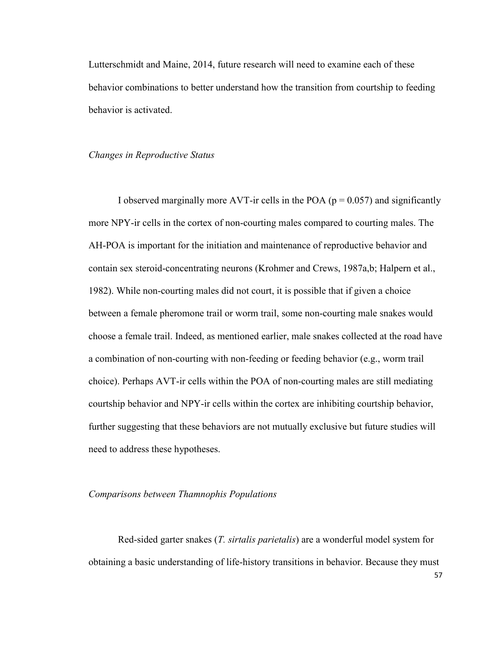Lutterschmidt and Maine, 2014, future research will need to examine each of these behavior combinations to better understand how the transition from courtship to feeding behavior is activated.

## *Changes in Reproductive Status*

I observed marginally more AVT-ir cells in the POA ( $p = 0.057$ ) and significantly more NPY-ir cells in the cortex of non-courting males compared to courting males. The AH-POA is important for the initiation and maintenance of reproductive behavior and contain sex steroid-concentrating neurons (Krohmer and Crews, 1987a,b; Halpern et al., 1982). While non-courting males did not court, it is possible that if given a choice between a female pheromone trail or worm trail, some non-courting male snakes would choose a female trail. Indeed, as mentioned earlier, male snakes collected at the road have a combination of non-courting with non-feeding or feeding behavior (e.g., worm trail choice). Perhaps AVT-ir cells within the POA of non-courting males are still mediating courtship behavior and NPY-ir cells within the cortex are inhibiting courtship behavior, further suggesting that these behaviors are not mutually exclusive but future studies will need to address these hypotheses.

# *Comparisons between Thamnophis Populations*

 Red-sided garter snakes (*T. sirtalis parietalis*) are a wonderful model system for obtaining a basic understanding of life-history transitions in behavior. Because they must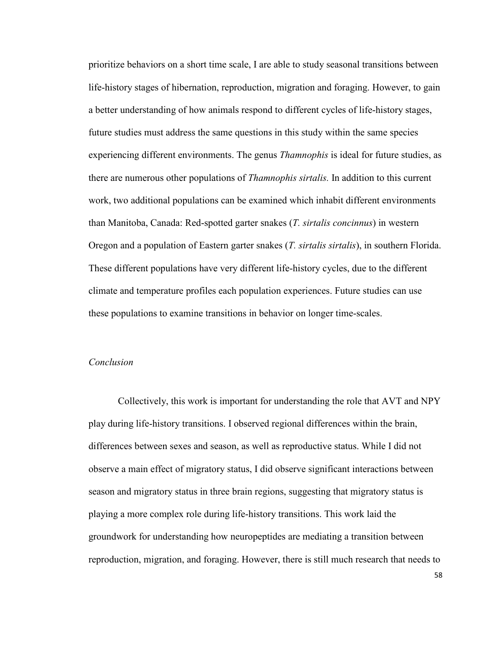prioritize behaviors on a short time scale, I are able to study seasonal transitions between life-history stages of hibernation, reproduction, migration and foraging. However, to gain a better understanding of how animals respond to different cycles of life-history stages, future studies must address the same questions in this study within the same species experiencing different environments. The genus *Thamnophis* is ideal for future studies, as there are numerous other populations of *Thamnophis sirtalis.* In addition to this current work, two additional populations can be examined which inhabit different environments than Manitoba, Canada: Red-spotted garter snakes (*T. sirtalis concinnus*) in western Oregon and a population of Eastern garter snakes (*T. sirtalis sirtalis*), in southern Florida. These different populations have very different life-history cycles, due to the different climate and temperature profiles each population experiences. Future studies can use these populations to examine transitions in behavior on longer time-scales.

# *Conclusion*

 Collectively, this work is important for understanding the role that AVT and NPY play during life-history transitions. I observed regional differences within the brain, differences between sexes and season, as well as reproductive status. While I did not observe a main effect of migratory status, I did observe significant interactions between season and migratory status in three brain regions, suggesting that migratory status is playing a more complex role during life-history transitions. This work laid the groundwork for understanding how neuropeptides are mediating a transition between reproduction, migration, and foraging. However, there is still much research that needs to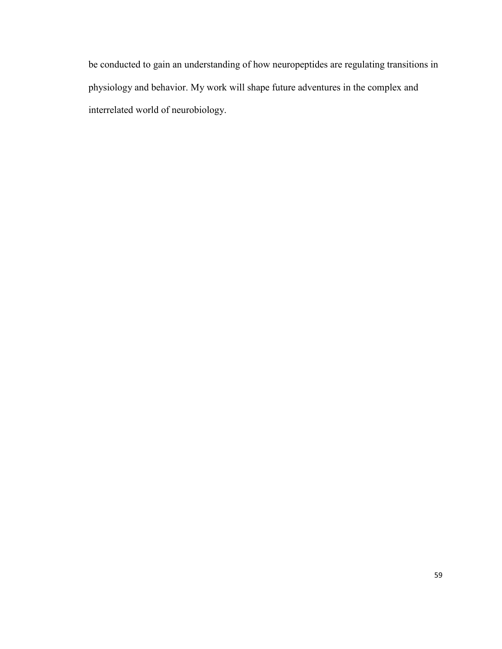be conducted to gain an understanding of how neuropeptides are regulating transitions in physiology and behavior. My work will shape future adventures in the complex and interrelated world of neurobiology.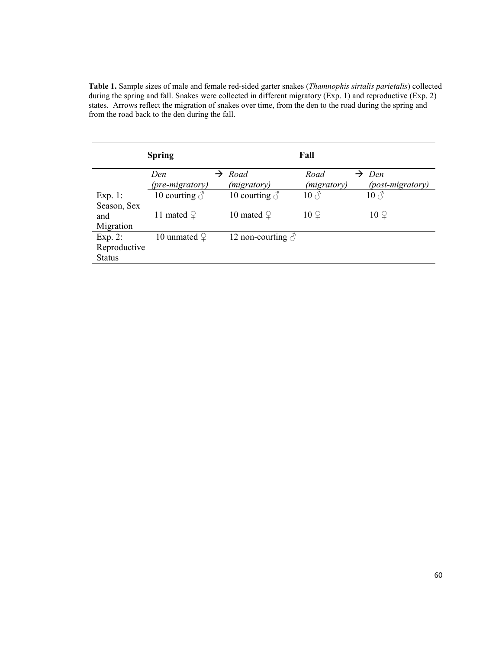**Table 1.** Sample sizes of male and female red-sided garter snakes (*Thamnophis sirtalis parietalis*) collected during the spring and fall. Snakes were collected in different migratory (Exp. 1) and reproductive (Exp. 2) states. Arrows reflect the migration of snakes over time, from the den to the road during the spring and from the road back to the den during the fall.

|               | <b>Spring</b>        |                          | Fall                 |                    |
|---------------|----------------------|--------------------------|----------------------|--------------------|
|               | Den                  | $\rightarrow$ Road       | Road                 | $\rightarrow$ Den  |
|               | (pre-migratory)      | ( <i>migratory</i> )     | ( <i>migratory</i> ) | (post-migratory)   |
| Exp. 1:       | 10 courting $\delta$ | 10 courting $\delta$     | $10 \, \text{\AA}$   | $10 \, \text{\AA}$ |
| Season, Sex   |                      |                          |                      |                    |
| and           | 11 mated $\varphi$   | 10 mated $\varphi$       | $10\Omega$           | $10\degree$        |
| Migration     |                      |                          |                      |                    |
| Exp. $2$ :    | 10 unmated $\varphi$ | 12 non-courting $\delta$ |                      |                    |
| Reproductive  |                      |                          |                      |                    |
| <b>Status</b> |                      |                          |                      |                    |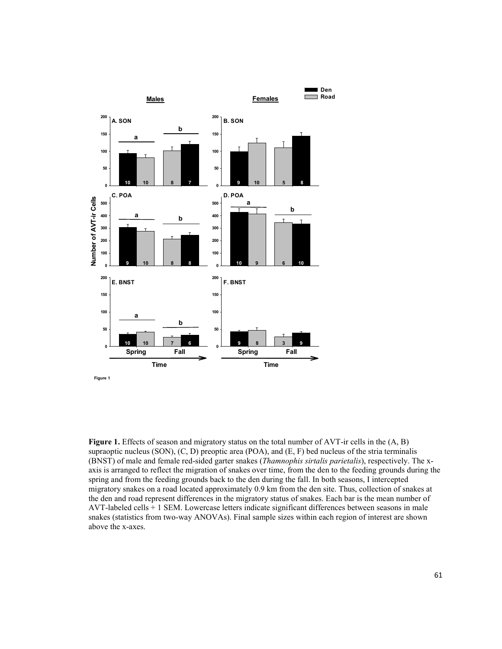

Figure 1. Effects of season and migratory status on the total number of AVT-ir cells in the  $(A, B)$ supraoptic nucleus (SON), (C, D) preoptic area (POA), and (E, F) bed nucleus of the stria terminalis (BNST) of male and female red-sided garter snakes (*Thamnophis sirtalis parietalis*), respectively. The xaxis is arranged to reflect the migration of snakes over time, from the den to the feeding grounds during the spring and from the feeding grounds back to the den during the fall. In both seasons, I intercepted migratory snakes on a road located approximately 0.9 km from the den site. Thus, collection of snakes at the den and road represent differences in the migratory status of snakes. Each bar is the mean number of AVT-labeled cells + 1 SEM. Lowercase letters indicate significant differences between seasons in male snakes (statistics from two-way ANOVAs). Final sample sizes within each region of interest are shown above the x-axes.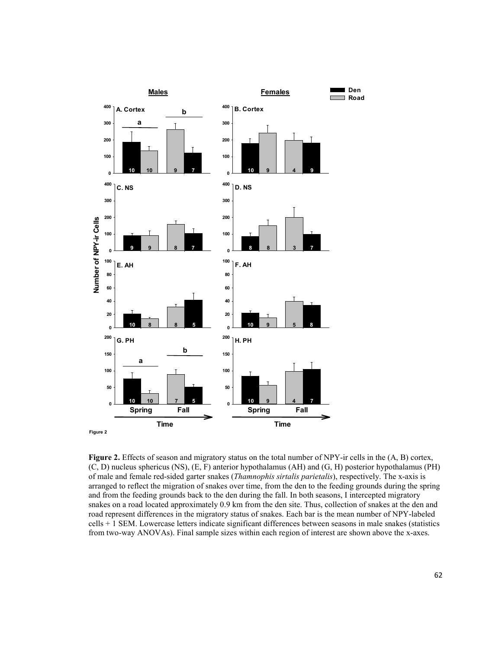

**Figure 2.** Effects of season and migratory status on the total number of NPY-ir cells in the  $(A, B)$  cortex, (C, D) nucleus sphericus (NS), (E, F) anterior hypothalamus (AH) and (G, H) posterior hypothalamus (PH) of male and female red-sided garter snakes (*Thamnophis sirtalis parietalis*), respectively. The x-axis is arranged to reflect the migration of snakes over time, from the den to the feeding grounds during the spring and from the feeding grounds back to the den during the fall. In both seasons, I intercepted migratory snakes on a road located approximately 0.9 km from the den site. Thus, collection of snakes at the den and road represent differences in the migratory status of snakes. Each bar is the mean number of NPY-labeled cells + 1 SEM. Lowercase letters indicate significant differences between seasons in male snakes (statistics from two-way ANOVAs). Final sample sizes within each region of interest are shown above the x-axes.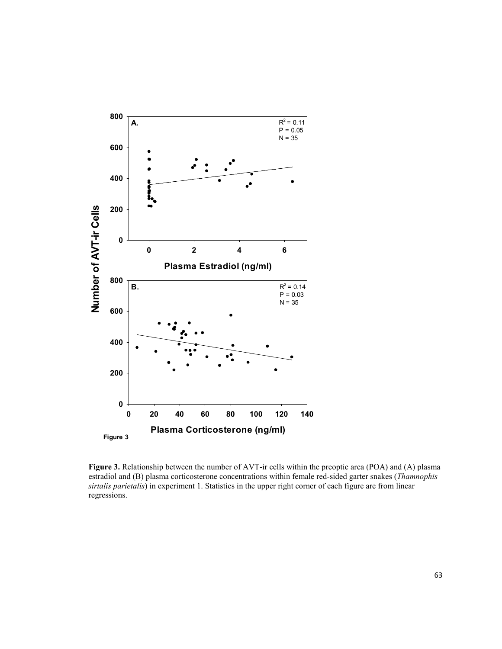

**Figure 3.** Relationship between the number of AVT-ir cells within the preoptic area (POA) and (A) plasma estradiol and (B) plasma corticosterone concentrations within female red-sided garter snakes (*Thamnophis sirtalis parietalis*) in experiment 1. Statistics in the upper right corner of each figure are from linear regressions.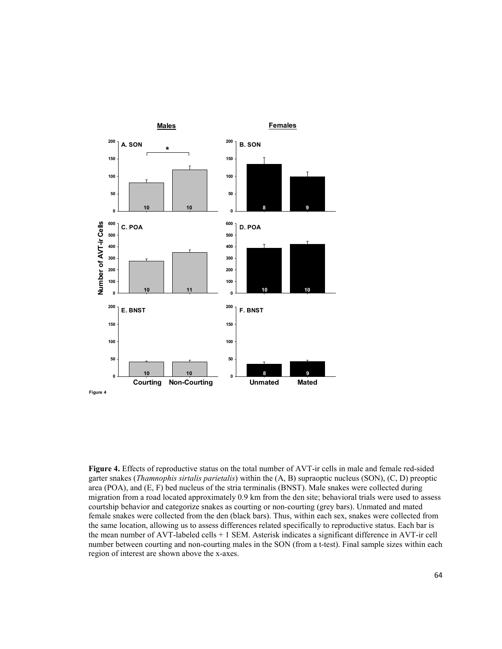

**Figure 4.** Effects of reproductive status on the total number of AVT-ir cells in male and female red-sided garter snakes (*Thamnophis sirtalis parietalis*) within the (A, B) supraoptic nucleus (SON), (C, D) preoptic area (POA), and (E, F) bed nucleus of the stria terminalis (BNST). Male snakes were collected during migration from a road located approximately 0.9 km from the den site; behavioral trials were used to assess courtship behavior and categorize snakes as courting or non-courting (grey bars). Unmated and mated female snakes were collected from the den (black bars). Thus, within each sex, snakes were collected from the same location, allowing us to assess differences related specifically to reproductive status. Each bar is the mean number of AVT-labeled cells + 1 SEM. Asterisk indicates a significant difference in AVT-ir cell number between courting and non-courting males in the SON (from a t-test). Final sample sizes within each region of interest are shown above the x-axes.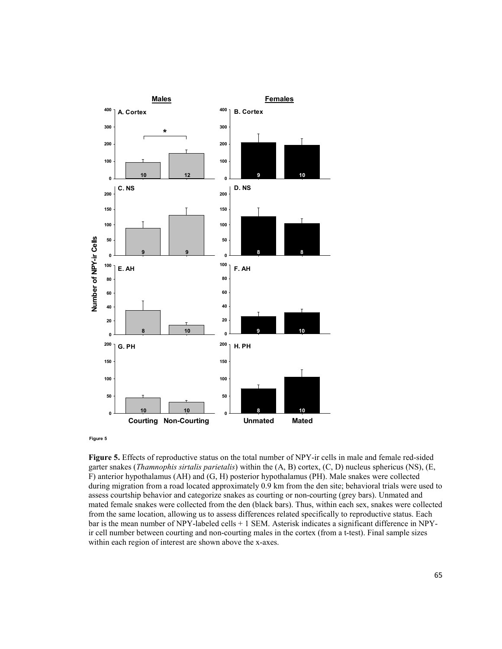

**Figure 5**

**Figure 5.** Effects of reproductive status on the total number of NPY-ir cells in male and female red-sided garter snakes (*Thamnophis sirtalis parietalis*) within the (A, B) cortex, (C, D) nucleus sphericus (NS), (E, F) anterior hypothalamus (AH) and (G, H) posterior hypothalamus (PH). Male snakes were collected during migration from a road located approximately 0.9 km from the den site; behavioral trials were used to assess courtship behavior and categorize snakes as courting or non-courting (grey bars). Unmated and mated female snakes were collected from the den (black bars). Thus, within each sex, snakes were collected from the same location, allowing us to assess differences related specifically to reproductive status. Each bar is the mean number of NPY-labeled cells + 1 SEM. Asterisk indicates a significant difference in NPYir cell number between courting and non-courting males in the cortex (from a t-test). Final sample sizes within each region of interest are shown above the x-axes.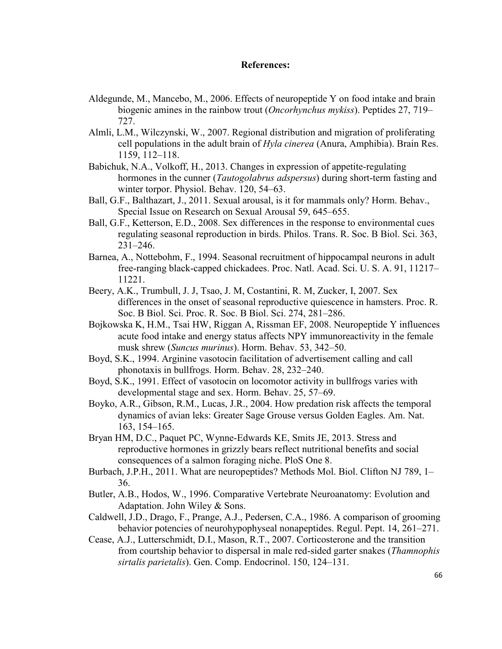## **References:**

- Aldegunde, M., Mancebo, M., 2006. Effects of neuropeptide Y on food intake and brain biogenic amines in the rainbow trout (*Oncorhynchus mykiss*). Peptides 27, 719– 727.
- Almli, L.M., Wilczynski, W., 2007. Regional distribution and migration of proliferating cell populations in the adult brain of *Hyla cinerea* (Anura, Amphibia). Brain Res. 1159, 112–118.
- Babichuk, N.A., Volkoff, H., 2013. Changes in expression of appetite-regulating hormones in the cunner (*Tautogolabrus adspersus*) during short-term fasting and winter torpor. Physiol. Behav. 120, 54–63.
- Ball, G.F., Balthazart, J., 2011. Sexual arousal, is it for mammals only? Horm. Behav., Special Issue on Research on Sexual Arousal 59, 645–655.
- Ball, G.F., Ketterson, E.D., 2008. Sex differences in the response to environmental cues regulating seasonal reproduction in birds. Philos. Trans. R. Soc. B Biol. Sci. 363, 231–246.
- Barnea, A., Nottebohm, F., 1994. Seasonal recruitment of hippocampal neurons in adult free-ranging black-capped chickadees. Proc. Natl. Acad. Sci. U. S. A. 91, 11217– 11221.
- Beery, A.K., Trumbull, J. J, Tsao, J. M, Costantini, R. M, Zucker, I, 2007. Sex differences in the onset of seasonal reproductive quiescence in hamsters. Proc. R. Soc. B Biol. Sci. Proc. R. Soc. B Biol. Sci. 274, 281–286.
- Bojkowska K, H.M., Tsai HW, Riggan A, Rissman EF, 2008. Neuropeptide Y influences acute food intake and energy status affects NPY immunoreactivity in the female musk shrew (*Suncus murinus*). Horm. Behav. 53, 342–50.
- Boyd, S.K., 1994. Arginine vasotocin facilitation of advertisement calling and call phonotaxis in bullfrogs. Horm. Behav. 28, 232–240.
- Boyd, S.K., 1991. Effect of vasotocin on locomotor activity in bullfrogs varies with developmental stage and sex. Horm. Behav. 25, 57–69.
- Boyko, A.R., Gibson, R.M., Lucas, J.R., 2004. How predation risk affects the temporal dynamics of avian leks: Greater Sage Grouse versus Golden Eagles. Am. Nat. 163, 154–165.
- Bryan HM, D.C., Paquet PC, Wynne-Edwards KE, Smits JE, 2013. Stress and reproductive hormones in grizzly bears reflect nutritional benefits and social consequences of a salmon foraging niche. PloS One 8.
- Burbach, J.P.H., 2011. What are neuropeptides? Methods Mol. Biol. Clifton NJ 789, 1– 36.
- Butler, A.B., Hodos, W., 1996. Comparative Vertebrate Neuroanatomy: Evolution and Adaptation. John Wiley & Sons.
- Caldwell, J.D., Drago, F., Prange, A.J., Pedersen, C.A., 1986. A comparison of grooming behavior potencies of neurohypophyseal nonapeptides. Regul. Pept. 14, 261–271.
- Cease, A.J., Lutterschmidt, D.I., Mason, R.T., 2007. Corticosterone and the transition from courtship behavior to dispersal in male red-sided garter snakes (*Thamnophis sirtalis parietalis*). Gen. Comp. Endocrinol. 150, 124–131.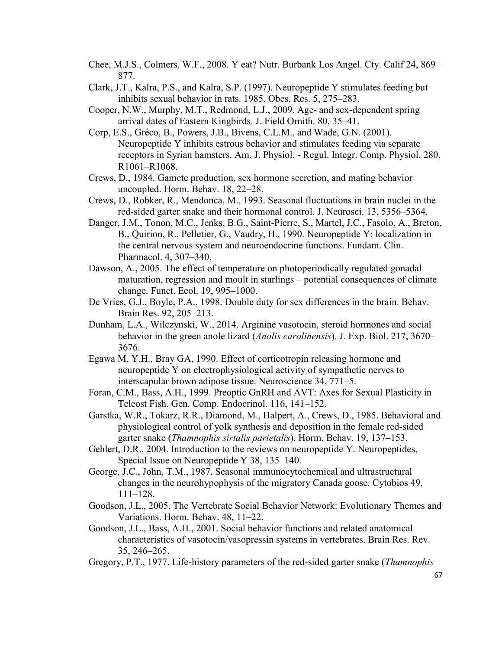- Chee, M.J.S., Colmers, W.F., 2008. Y eat? Nutr. Burbank Los Angel. Cty. Calif 24, 869– 877.
- Clark, J.T., Kalra, P.S., and Kalra, S.P. (1997). Neuropeptide Y stimulates feeding but inhibits sexual behavior in rats. 1985. Obes. Res. 5, 275–283.
- Cooper, N.W., Murphy, M.T., Redmond, L.J., 2009. Age- and sex-dependent spring arrival dates of Eastern Kingbirds. J. Field Ornith. 80, 35–41.
- Corp, E.S., Gréco, B., Powers, J.B., Bivens, C.L.M., and Wade, G.N. (2001). Neuropeptide Y inhibits estrous behavior and stimulates feeding via separate receptors in Syrian hamsters. Am. J. Physiol. - Regul. Integr. Comp. Physiol. 280, R1061–R1068.
- Crews, D., 1984. Gamete production, sex hormone secretion, and mating behavior uncoupled. Horm. Behav. 18, 22–28.
- Crews, D., Robker, R., Mendonca, M., 1993. Seasonal fluctuations in brain nuclei in the red-sided garter snake and their hormonal control. J. Neurosci. 13, 5356–5364.
- Danger, J.M., Tonon, M.C., Jenks, B.G., Saint-Pierre, S., Martel, J.C., Fasolo, A., Breton, B., Quirion, R., Pelletier, G., Vaudry, H., 1990. Neuropeptide Y: localization in the central nervous system and neuroendocrine functions. Fundam. Clin. Pharmacol. 4, 307–340.
- Dawson, A., 2005. The effect of temperature on photoperiodically regulated gonadal maturation, regression and moult in starlings – potential consequences of climate change. Funct. Ecol. 19, 995–1000.
- De Vries, G.J., Boyle, P.A., 1998. Double duty for sex differences in the brain. Behav. Brain Res. 92, 205–213.
- Dunham, L.A., Wilczynski, W., 2014. Arginine vasotocin, steroid hormones and social behavior in the green anole lizard (*Anolis carolinensis*). J. Exp. Biol. 217, 3670– 3676.
- Egawa M, Y.H., Bray GA, 1990. Effect of corticotropin releasing hormone and neuropeptide Y on electrophysiological activity of sympathetic nerves to interscapular brown adipose tissue. Neuroscience 34, 771–5.
- Foran, C.M., Bass, A.H., 1999. Preoptic GnRH and AVT: Axes for Sexual Plasticity in Teleost Fish. Gen. Comp. Endocrinol. 116, 141–152.
- Garstka, W.R., Tokarz, R.R., Diamond, M., Halpert, A., Crews, D., 1985. Behavioral and physiological control of yolk synthesis and deposition in the female red-sided garter snake (*Thamnophis sirtalis parietalis*). Horm. Behav. 19, 137–153.
- Gehlert, D.R., 2004. Introduction to the reviews on neuropeptide Y. Neuropeptides, Special Issue on Neuropeptide Y 38, 135–140.
- George, J.C., John, T.M., 1987. Seasonal immunocytochemical and ultrastructural changes in the neurohypophysis of the migratory Canada goose. Cytobios 49, 111–128.
- Goodson, J.L., 2005. The Vertebrate Social Behavior Network: Evolutionary Themes and Variations. Horm. Behav. 48, 11–22.
- Goodson, J.L., Bass, A.H., 2001. Social behavior functions and related anatomical characteristics of vasotocin/vasopressin systems in vertebrates. Brain Res. Rev. 35, 246–265.
- Gregory, P.T., 1977. Life-history parameters of the red-sided garter snake (*Thamnophis*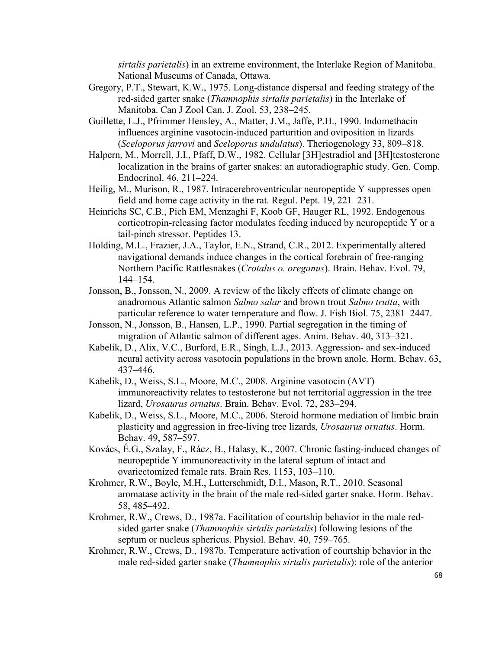*sirtalis parietalis*) in an extreme environment, the Interlake Region of Manitoba. National Museums of Canada, Ottawa.

- Gregory, P.T., Stewart, K.W., 1975. Long-distance dispersal and feeding strategy of the red-sided garter snake (*Thamnophis sirtalis parietalis*) in the Interlake of Manitoba. Can J Zool Can. J. Zool. 53, 238–245.
- Guillette, L.J., Pfrimmer Hensley, A., Matter, J.M., Jaffe, P.H., 1990. Indomethacin influences arginine vasotocin-induced parturition and oviposition in lizards (*Sceloporus jarrovi* and *Sceloporus undulatus*). Theriogenology 33, 809–818.
- Halpern, M., Morrell, J.I., Pfaff, D.W., 1982. Cellular [3H]estradiol and [3H]testosterone localization in the brains of garter snakes: an autoradiographic study. Gen. Comp. Endocrinol. 46, 211–224.
- Heilig, M., Murison, R., 1987. Intracerebroventricular neuropeptide Y suppresses open field and home cage activity in the rat. Regul. Pept. 19, 221–231.
- Heinrichs SC, C.B., Pich EM, Menzaghi F, Koob GF, Hauger RL, 1992. Endogenous corticotropin-releasing factor modulates feeding induced by neuropeptide Y or a tail-pinch stressor. Peptides 13.
- Holding, M.L., Frazier, J.A., Taylor, E.N., Strand, C.R., 2012. Experimentally altered navigational demands induce changes in the cortical forebrain of free-ranging Northern Pacific Rattlesnakes (*Crotalus o. oreganus*). Brain. Behav. Evol. 79, 144–154.
- Jonsson, B., Jonsson, N., 2009. A review of the likely effects of climate change on anadromous Atlantic salmon *Salmo salar* and brown trout *Salmo trutta*, with particular reference to water temperature and flow. J. Fish Biol. 75, 2381–2447.
- Jonsson, N., Jonsson, B., Hansen, L.P., 1990. Partial segregation in the timing of migration of Atlantic salmon of different ages. Anim. Behav. 40, 313–321.
- Kabelik, D., Alix, V.C., Burford, E.R., Singh, L.J., 2013. Aggression- and sex-induced neural activity across vasotocin populations in the brown anole. Horm. Behav. 63, 437–446.
- Kabelik, D., Weiss, S.L., Moore, M.C., 2008. Arginine vasotocin (AVT) immunoreactivity relates to testosterone but not territorial aggression in the tree lizard, *Urosaurus ornatus*. Brain. Behav. Evol. 72, 283–294.
- Kabelik, D., Weiss, S.L., Moore, M.C., 2006. Steroid hormone mediation of limbic brain plasticity and aggression in free-living tree lizards, *Urosaurus ornatus*. Horm. Behav. 49, 587–597.
- Kovács, É.G., Szalay, F., Rácz, B., Halasy, K., 2007. Chronic fasting-induced changes of neuropeptide Y immunoreactivity in the lateral septum of intact and ovariectomized female rats. Brain Res. 1153, 103–110.
- Krohmer, R.W., Boyle, M.H., Lutterschmidt, D.I., Mason, R.T., 2010. Seasonal aromatase activity in the brain of the male red-sided garter snake. Horm. Behav. 58, 485–492.
- Krohmer, R.W., Crews, D., 1987a. Facilitation of courtship behavior in the male redsided garter snake (*Thamnophis sirtalis parietalis*) following lesions of the septum or nucleus sphericus. Physiol. Behav. 40, 759–765.
- Krohmer, R.W., Crews, D., 1987b. Temperature activation of courtship behavior in the male red-sided garter snake (*Thamnophis sirtalis parietalis*): role of the anterior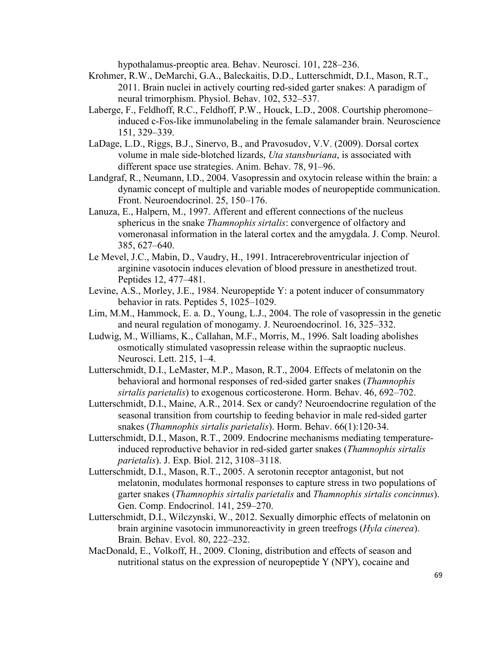hypothalamus-preoptic area. Behav. Neurosci. 101, 228–236.

- Krohmer, R.W., DeMarchi, G.A., Baleckaitis, D.D., Lutterschmidt, D.I., Mason, R.T., 2011. Brain nuclei in actively courting red-sided garter snakes: A paradigm of neural trimorphism. Physiol. Behav. 102, 532–537.
- Laberge, F., Feldhoff, R.C., Feldhoff, P.W., Houck, L.D., 2008. Courtship pheromone– induced c-Fos-like immunolabeling in the female salamander brain. Neuroscience 151, 329–339.
- LaDage, L.D., Riggs, B.J., Sinervo, B., and Pravosudov, V.V. (2009). Dorsal cortex volume in male side-blotched lizards, *Uta stansburiana*, is associated with different space use strategies. Anim. Behav. 78, 91–96.
- Landgraf, R., Neumann, I.D., 2004. Vasopressin and oxytocin release within the brain: a dynamic concept of multiple and variable modes of neuropeptide communication. Front. Neuroendocrinol. 25, 150–176.
- Lanuza, E., Halpern, M., 1997. Afferent and efferent connections of the nucleus sphericus in the snake *Thamnophis sirtalis*: convergence of olfactory and vomeronasal information in the lateral cortex and the amygdala. J. Comp. Neurol. 385, 627–640.
- Le Mevel, J.C., Mabin, D., Vaudry, H., 1991. Intracerebroventricular injection of arginine vasotocin induces elevation of blood pressure in anesthetized trout. Peptides 12, 477–481.
- Levine, A.S., Morley, J.E., 1984. Neuropeptide Y: a potent inducer of consummatory behavior in rats. Peptides 5, 1025–1029.
- Lim, M.M., Hammock, E. a. D., Young, L.J., 2004. The role of vasopressin in the genetic and neural regulation of monogamy. J. Neuroendocrinol. 16, 325–332.
- Ludwig, M., Williams, K., Callahan, M.F., Morris, M., 1996. Salt loading abolishes osmotically stimulated vasopressin release within the supraoptic nucleus. Neurosci. Lett. 215, 1–4.
- Lutterschmidt, D.I., LeMaster, M.P., Mason, R.T., 2004. Effects of melatonin on the behavioral and hormonal responses of red-sided garter snakes (*Thamnophis sirtalis parietalis*) to exogenous corticosterone. Horm. Behav. 46, 692–702.
- Lutterschmidt, D.I., Maine, A.R., 2014. Sex or candy? Neuroendocrine regulation of the seasonal transition from courtship to feeding behavior in male red-sided garter snakes (*Thamnophis sirtalis parietalis*). Horm. Behav. 66(1):120-34.
- Lutterschmidt, D.I., Mason, R.T., 2009. Endocrine mechanisms mediating temperatureinduced reproductive behavior in red-sided garter snakes (*Thamnophis sirtalis parietalis*). J. Exp. Biol. 212, 3108–3118.
- Lutterschmidt, D.I., Mason, R.T., 2005. A serotonin receptor antagonist, but not melatonin, modulates hormonal responses to capture stress in two populations of garter snakes (*Thamnophis sirtalis parietalis* and *Thamnophis sirtalis concinnus*). Gen. Comp. Endocrinol. 141, 259–270.
- Lutterschmidt, D.I., Wilczynski, W., 2012. Sexually dimorphic effects of melatonin on brain arginine vasotocin immunoreactivity in green treefrogs (*Hyla cinerea*). Brain. Behav. Evol. 80, 222–232.
- MacDonald, E., Volkoff, H., 2009. Cloning, distribution and effects of season and nutritional status on the expression of neuropeptide Y (NPY), cocaine and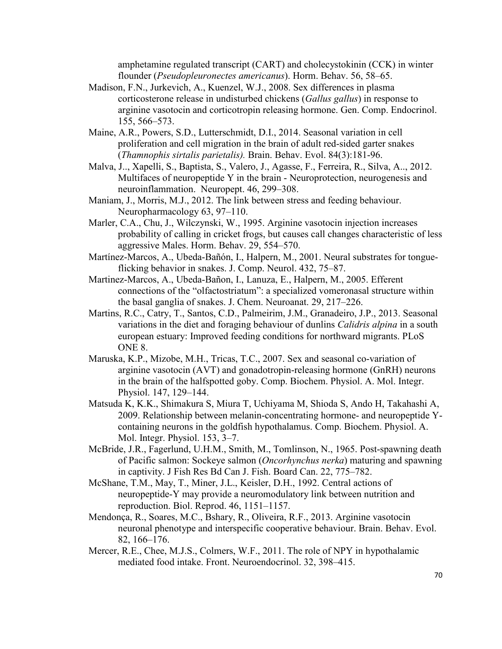amphetamine regulated transcript (CART) and cholecystokinin (CCK) in winter flounder (*Pseudopleuronectes americanus*). Horm. Behav. 56, 58–65.

- Madison, F.N., Jurkevich, A., Kuenzel, W.J., 2008. Sex differences in plasma corticosterone release in undisturbed chickens (*Gallus gallus*) in response to arginine vasotocin and corticotropin releasing hormone. Gen. Comp. Endocrinol. 155, 566–573.
- Maine, A.R., Powers, S.D., Lutterschmidt, D.I., 2014. Seasonal variation in cell proliferation and cell migration in the brain of adult red-sided garter snakes (*Thamnophis sirtalis parietalis).* Brain. Behav. Evol. 84(3):181-96.
- Malva, J.., Xapelli, S., Baptista, S., Valero, J., Agasse, F., Ferreira, R., Silva, A.., 2012. Multifaces of neuropeptide Y in the brain - Neuroprotection, neurogenesis and neuroinflammation. Neuropept. 46, 299–308.
- Maniam, J., Morris, M.J., 2012. The link between stress and feeding behaviour. Neuropharmacology 63, 97–110.
- Marler, C.A., Chu, J., Wilczynski, W., 1995. Arginine vasotocin injection increases probability of calling in cricket frogs, but causes call changes characteristic of less aggressive Males. Horm. Behav. 29, 554–570.
- Martínez-Marcos, A., Ubeda-Bañón, I., Halpern, M., 2001. Neural substrates for tongueflicking behavior in snakes. J. Comp. Neurol. 432, 75–87.
- Martinez-Marcos, A., Ubeda-Bañon, I., Lanuza, E., Halpern, M., 2005. Efferent connections of the "olfactostriatum": a specialized vomeronasal structure within the basal ganglia of snakes. J. Chem. Neuroanat. 29, 217–226.
- Martins, R.C., Catry, T., Santos, C.D., Palmeirim, J.M., Granadeiro, J.P., 2013. Seasonal variations in the diet and foraging behaviour of dunlins *Calidris alpina* in a south european estuary: Improved feeding conditions for northward migrants. PLoS ONE 8.
- Maruska, K.P., Mizobe, M.H., Tricas, T.C., 2007. Sex and seasonal co-variation of arginine vasotocin (AVT) and gonadotropin-releasing hormone (GnRH) neurons in the brain of the halfspotted goby. Comp. Biochem. Physiol. A. Mol. Integr. Physiol. 147, 129–144.
- Matsuda K, K.K., Shimakura S, Miura T, Uchiyama M, Shioda S, Ando H, Takahashi A, 2009. Relationship between melanin-concentrating hormone- and neuropeptide Ycontaining neurons in the goldfish hypothalamus. Comp. Biochem. Physiol. A. Mol. Integr. Physiol. 153, 3–7.
- McBride, J.R., Fagerlund, U.H.M., Smith, M., Tomlinson, N., 1965. Post-spawning death of Pacific salmon: Sockeye salmon (*Oncorhynchus nerka*) maturing and spawning in captivity. J Fish Res Bd Can J. Fish. Board Can. 22, 775–782.
- McShane, T.M., May, T., Miner, J.L., Keisler, D.H., 1992. Central actions of neuropeptide-Y may provide a neuromodulatory link between nutrition and reproduction. Biol. Reprod. 46, 1151–1157.
- Mendonça, R., Soares, M.C., Bshary, R., Oliveira, R.F., 2013. Arginine vasotocin neuronal phenotype and interspecific cooperative behaviour. Brain. Behav. Evol. 82, 166–176.
- Mercer, R.E., Chee, M.J.S., Colmers, W.F., 2011. The role of NPY in hypothalamic mediated food intake. Front. Neuroendocrinol. 32, 398–415.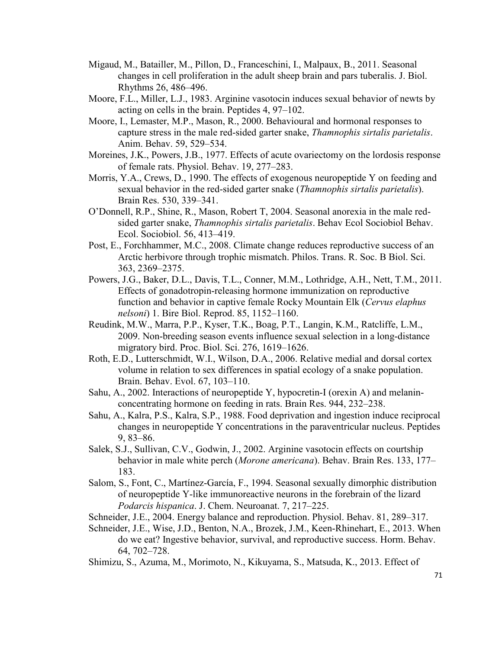- Migaud, M., Batailler, M., Pillon, D., Franceschini, I., Malpaux, B., 2011. Seasonal changes in cell proliferation in the adult sheep brain and pars tuberalis. J. Biol. Rhythms 26, 486–496.
- Moore, F.L., Miller, L.J., 1983. Arginine vasotocin induces sexual behavior of newts by acting on cells in the brain. Peptides 4, 97–102.
- Moore, I., Lemaster, M.P., Mason, R., 2000. Behavioural and hormonal responses to capture stress in the male red-sided garter snake, *Thamnophis sirtalis parietalis*. Anim. Behav. 59, 529–534.
- Moreines, J.K., Powers, J.B., 1977. Effects of acute ovariectomy on the lordosis response of female rats. Physiol. Behav. 19, 277–283.
- Morris, Y.A., Crews, D., 1990. The effects of exogenous neuropeptide Y on feeding and sexual behavior in the red-sided garter snake (*Thamnophis sirtalis parietalis*). Brain Res. 530, 339–341.
- O'Donnell, R.P., Shine, R., Mason, Robert T, 2004. Seasonal anorexia in the male redsided garter snake, *Thamnophis sirtalis parietalis*. Behav Ecol Sociobiol Behav. Ecol. Sociobiol. 56, 413–419.
- Post, E., Forchhammer, M.C., 2008. Climate change reduces reproductive success of an Arctic herbivore through trophic mismatch. Philos. Trans. R. Soc. B Biol. Sci. 363, 2369–2375.
- Powers, J.G., Baker, D.L., Davis, T.L., Conner, M.M., Lothridge, A.H., Nett, T.M., 2011. Effects of gonadotropin-releasing hormone immunization on reproductive function and behavior in captive female Rocky Mountain Elk (*Cervus elaphus nelsoni*) 1. Bire Biol. Reprod. 85, 1152–1160.
- Reudink, M.W., Marra, P.P., Kyser, T.K., Boag, P.T., Langin, K.M., Ratcliffe, L.M., 2009. Non-breeding season events influence sexual selection in a long-distance migratory bird. Proc. Biol. Sci. 276, 1619–1626.
- Roth, E.D., Lutterschmidt, W.I., Wilson, D.A., 2006. Relative medial and dorsal cortex volume in relation to sex differences in spatial ecology of a snake population. Brain. Behav. Evol. 67, 103–110.
- Sahu, A., 2002. Interactions of neuropeptide Y, hypocretin-I (orexin A) and melaninconcentrating hormone on feeding in rats. Brain Res. 944, 232–238.
- Sahu, A., Kalra, P.S., Kalra, S.P., 1988. Food deprivation and ingestion induce reciprocal changes in neuropeptide Y concentrations in the paraventricular nucleus. Peptides 9, 83–86.
- Salek, S.J., Sullivan, C.V., Godwin, J., 2002. Arginine vasotocin effects on courtship behavior in male white perch (*Morone americana*). Behav. Brain Res. 133, 177– 183.
- Salom, S., Font, C., Martínez-García, F., 1994. Seasonal sexually dimorphic distribution of neuropeptide Y-like immunoreactive neurons in the forebrain of the lizard *Podarcis hispanica*. J. Chem. Neuroanat. 7, 217–225.
- Schneider, J.E., 2004. Energy balance and reproduction. Physiol. Behav. 81, 289–317.
- Schneider, J.E., Wise, J.D., Benton, N.A., Brozek, J.M., Keen-Rhinehart, E., 2013. When do we eat? Ingestive behavior, survival, and reproductive success. Horm. Behav. 64, 702–728.
- Shimizu, S., Azuma, M., Morimoto, N., Kikuyama, S., Matsuda, K., 2013. Effect of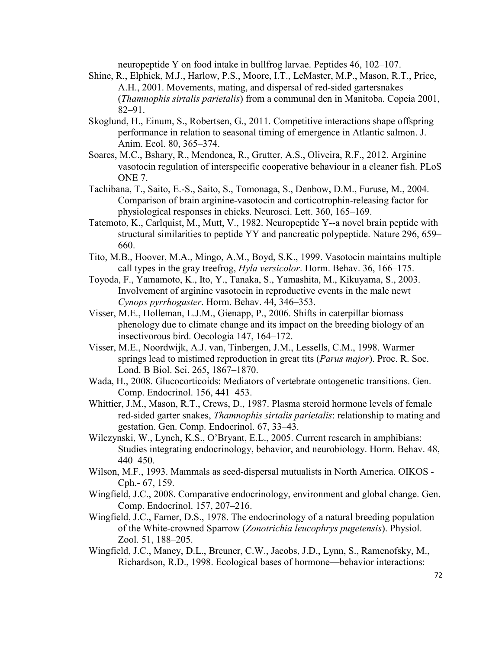neuropeptide Y on food intake in bullfrog larvae. Peptides 46, 102–107.

- Shine, R., Elphick, M.J., Harlow, P.S., Moore, I.T., LeMaster, M.P., Mason, R.T., Price, A.H., 2001. Movements, mating, and dispersal of red-sided gartersnakes (*Thamnophis sirtalis parietalis*) from a communal den in Manitoba. Copeia 2001, 82–91.
- Skoglund, H., Einum, S., Robertsen, G., 2011. Competitive interactions shape offspring performance in relation to seasonal timing of emergence in Atlantic salmon. J. Anim. Ecol. 80, 365–374.
- Soares, M.C., Bshary, R., Mendonca, R., Grutter, A.S., Oliveira, R.F., 2012. Arginine vasotocin regulation of interspecific cooperative behaviour in a cleaner fish. PLoS ONE 7.
- Tachibana, T., Saito, E.-S., Saito, S., Tomonaga, S., Denbow, D.M., Furuse, M., 2004. Comparison of brain arginine-vasotocin and corticotrophin-releasing factor for physiological responses in chicks. Neurosci. Lett. 360, 165–169.
- Tatemoto, K., Carlquist, M., Mutt, V., 1982. Neuropeptide Y--a novel brain peptide with structural similarities to peptide YY and pancreatic polypeptide. Nature 296, 659– 660.
- Tito, M.B., Hoover, M.A., Mingo, A.M., Boyd, S.K., 1999. Vasotocin maintains multiple call types in the gray treefrog, *Hyla versicolor*. Horm. Behav. 36, 166–175.
- Toyoda, F., Yamamoto, K., Ito, Y., Tanaka, S., Yamashita, M., Kikuyama, S., 2003. Involvement of arginine vasotocin in reproductive events in the male newt *Cynops pyrrhogaster*. Horm. Behav. 44, 346–353.
- Visser, M.E., Holleman, L.J.M., Gienapp, P., 2006. Shifts in caterpillar biomass phenology due to climate change and its impact on the breeding biology of an insectivorous bird. Oecologia 147, 164–172.
- Visser, M.E., Noordwijk, A.J. van, Tinbergen, J.M., Lessells, C.M., 1998. Warmer springs lead to mistimed reproduction in great tits (*Parus major*). Proc. R. Soc. Lond. B Biol. Sci. 265, 1867–1870.
- Wada, H., 2008. Glucocorticoids: Mediators of vertebrate ontogenetic transitions. Gen. Comp. Endocrinol. 156, 441–453.
- Whittier, J.M., Mason, R.T., Crews, D., 1987. Plasma steroid hormone levels of female red-sided garter snakes, *Thamnophis sirtalis parietalis*: relationship to mating and gestation. Gen. Comp. Endocrinol. 67, 33–43.
- Wilczynski, W., Lynch, K.S., O'Bryant, E.L., 2005. Current research in amphibians: Studies integrating endocrinology, behavior, and neurobiology. Horm. Behav. 48, 440–450.
- Wilson, M.F., 1993. Mammals as seed-dispersal mutualists in North America. OIKOS Cph.- 67, 159.
- Wingfield, J.C., 2008. Comparative endocrinology, environment and global change. Gen. Comp. Endocrinol. 157, 207–216.
- Wingfield, J.C., Farner, D.S., 1978. The endocrinology of a natural breeding population of the White-crowned Sparrow (*Zonotrichia leucophrys pugetensis*). Physiol. Zool. 51, 188–205.
- Wingfield, J.C., Maney, D.L., Breuner, C.W., Jacobs, J.D., Lynn, S., Ramenofsky, M., Richardson, R.D., 1998. Ecological bases of hormone—behavior interactions: